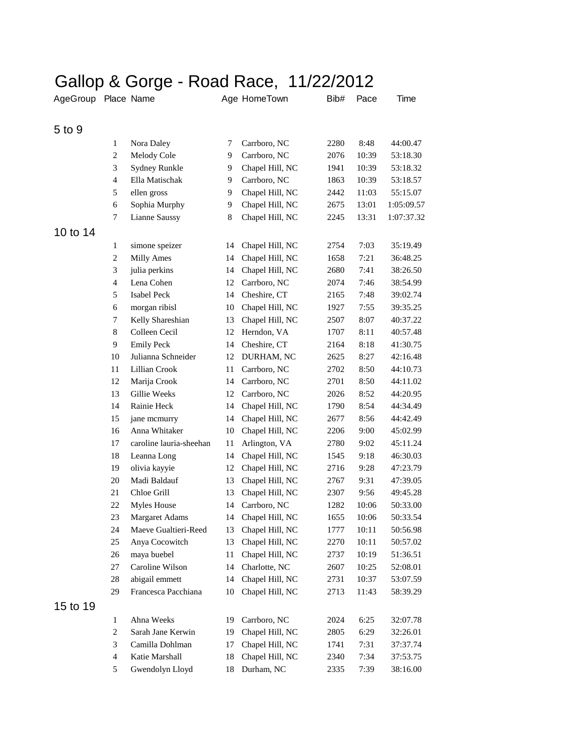## Gallop & Gorge - Road Race, 11/22/2012

| AgeGroup Place Name |                             |                         |    | Age HomeTown       | Bib# | Pace  | Time       |
|---------------------|-----------------------------|-------------------------|----|--------------------|------|-------|------------|
| 5 to 9              |                             |                         |    |                    |      |       |            |
|                     | 1                           | Nora Daley              | 7  | Carrboro, NC       | 2280 | 8:48  | 44:00.47   |
|                     | $\mathbf{2}$                | Melody Cole             | 9  | Carrboro, NC       | 2076 | 10:39 | 53:18.30   |
|                     | 3                           | Sydney Runkle           | 9  | Chapel Hill, NC    | 1941 | 10:39 | 53:18.32   |
|                     | $\overline{4}$              | Ella Matischak          | 9  | Carrboro, NC       | 1863 | 10:39 | 53:18.57   |
|                     | 5                           | ellen gross             | 9  | Chapel Hill, NC    | 2442 | 11:03 | 55:15.07   |
|                     | 6                           | Sophia Murphy           | 9  | Chapel Hill, NC    | 2675 | 13:01 | 1:05:09.57 |
|                     | 7                           | Lianne Saussy           | 8  | Chapel Hill, NC    | 2245 | 13:31 | 1:07:37.32 |
| 10 to 14            |                             |                         |    |                    |      |       |            |
|                     | 1                           | simone speizer          | 14 | Chapel Hill, NC    | 2754 | 7:03  | 35:19.49   |
|                     | $\mathbf{2}$                | <b>Milly Ames</b>       | 14 | Chapel Hill, NC    | 1658 | 7:21  | 36:48.25   |
|                     | 3                           | julia perkins           | 14 | Chapel Hill, NC    | 2680 | 7:41  | 38:26.50   |
|                     | $\overline{4}$              | Lena Cohen              | 12 | Carrboro, NC       | 2074 | 7:46  | 38:54.99   |
|                     | 5                           | <b>Isabel Peck</b>      | 14 | Cheshire, CT       | 2165 | 7:48  | 39:02.74   |
|                     | 6                           | morgan ribisl           | 10 | Chapel Hill, NC    | 1927 | 7:55  | 39:35.25   |
|                     | 7                           | Kelly Shareshian        | 13 | Chapel Hill, NC    | 2507 | 8:07  | 40:37.22   |
|                     | $\,$ 8 $\,$                 | Colleen Cecil           | 12 | Herndon, VA        | 1707 | 8:11  | 40:57.48   |
|                     | 9                           | <b>Emily Peck</b>       | 14 | Cheshire, CT       | 2164 | 8:18  | 41:30.75   |
|                     | 10                          | Julianna Schneider      | 12 | DURHAM, NC         | 2625 | 8:27  | 42:16.48   |
|                     | 11                          | Lillian Crook           | 11 | Carrboro, NC       | 2702 | 8:50  | 44:10.73   |
|                     | 12                          | Marija Crook            | 14 | Carrboro, NC       | 2701 | 8:50  | 44:11.02   |
|                     | 13                          | Gillie Weeks            | 12 | Carrboro, NC       | 2026 | 8:52  | 44:20.95   |
|                     | 14                          | Rainie Heck             | 14 | Chapel Hill, NC    | 1790 | 8:54  | 44:34.49   |
|                     | 15                          | jane mcmurry            | 14 | Chapel Hill, NC    | 2677 | 8:56  | 44:42.49   |
|                     | 16                          | Anna Whitaker           | 10 | Chapel Hill, NC    | 2206 | 9:00  | 45:02.99   |
|                     | 17                          | caroline lauria-sheehan | 11 | Arlington, VA      | 2780 | 9:02  | 45:11.24   |
|                     | 18                          | Leanna Long             | 14 | Chapel Hill, NC    | 1545 | 9:18  | 46:30.03   |
|                     | 19                          | olivia kayyie           | 12 | Chapel Hill, NC    | 2716 | 9:28  | 47:23.79   |
|                     | 20                          | Madi Baldauf            | 13 | Chapel Hill, NC    | 2767 | 9:31  | 47:39.05   |
|                     | 21                          | Chloe Grill             | 13 | Chapel Hill, NC    | 2307 | 9:56  | 49:45.28   |
|                     | 22                          | <b>Myles House</b>      | 14 | Carrboro, NC       | 1282 | 10:06 | 50:33.00   |
|                     | 23                          | Margaret Adams          |    | 14 Chapel Hill, NC | 1655 | 10:06 | 50:33.54   |
|                     | 24                          | Maeve Gualtieri-Reed    | 13 | Chapel Hill, NC    | 1777 | 10:11 | 50:56.98   |
|                     | 25                          | Anya Cocowitch          | 13 | Chapel Hill, NC    | 2270 | 10:11 | 50:57.02   |
|                     | $26\,$                      | maya buebel             | 11 | Chapel Hill, NC    | 2737 | 10:19 | 51:36.51   |
|                     | 27                          | Caroline Wilson         | 14 | Charlotte, NC      | 2607 | 10:25 | 52:08.01   |
|                     | 28                          | abigail emmett          | 14 | Chapel Hill, NC    | 2731 | 10:37 | 53:07.59   |
|                     | 29                          | Francesca Pacchiana     | 10 | Chapel Hill, NC    | 2713 | 11:43 | 58:39.29   |
| 15 to 19            |                             |                         |    |                    |      |       |            |
|                     | $\mathbf{1}$                | Ahna Weeks              | 19 | Carrboro, NC       | 2024 | 6:25  | 32:07.78   |
|                     | $\sqrt{2}$                  | Sarah Jane Kerwin       | 19 | Chapel Hill, NC    | 2805 | 6:29  | 32:26.01   |
|                     | $\ensuremath{\mathfrak{Z}}$ | Camilla Dohlman         | 17 | Chapel Hill, NC    | 1741 | 7:31  | 37:37.74   |
|                     | $\overline{4}$              | Katie Marshall          | 18 | Chapel Hill, NC    | 2340 | 7:34  | 37:53.75   |
|                     | $\sqrt{5}$                  | Gwendolyn Lloyd         | 18 | Durham, NC         | 2335 | 7:39  | 38:16.00   |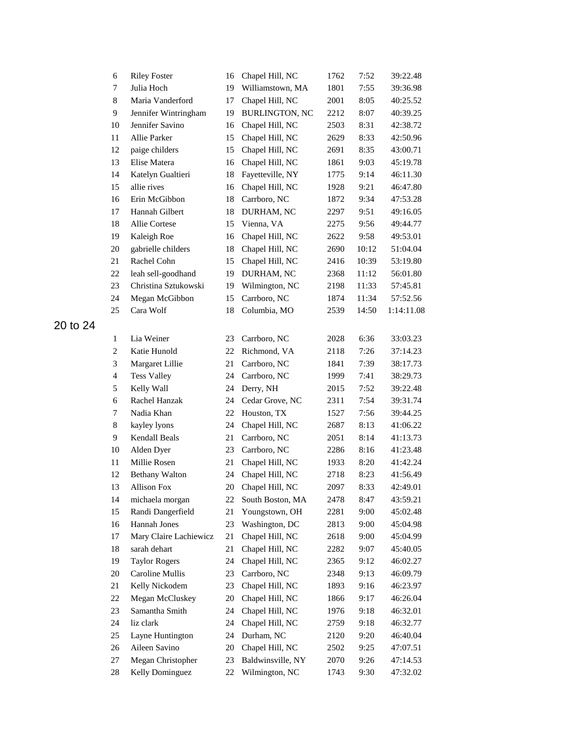| 6              | <b>Riley Foster</b>    | 16 | Chapel Hill, NC       | 1762 | 7:52  | 39:22.48   |
|----------------|------------------------|----|-----------------------|------|-------|------------|
| 7              | Julia Hoch             | 19 | Williamstown, MA      | 1801 | 7:55  | 39:36.98   |
| 8              | Maria Vanderford       | 17 | Chapel Hill, NC       | 2001 | 8:05  | 40:25.52   |
| 9              | Jennifer Wintringham   | 19 | <b>BURLINGTON, NC</b> | 2212 | 8:07  | 40:39.25   |
| 10             | Jennifer Savino        | 16 | Chapel Hill, NC       | 2503 | 8:31  | 42:38.72   |
| 11             | Allie Parker           | 15 | Chapel Hill, NC       | 2629 | 8:33  | 42:50.96   |
| 12             | paige childers         | 15 | Chapel Hill, NC       | 2691 | 8:35  | 43:00.71   |
| 13             | Elise Matera           | 16 | Chapel Hill, NC       | 1861 | 9:03  | 45:19.78   |
| 14             | Katelyn Gualtieri      | 18 | Fayetteville, NY      | 1775 | 9:14  | 46:11.30   |
| 15             | allie rives            | 16 | Chapel Hill, NC       | 1928 | 9:21  | 46:47.80   |
| 16             | Erin McGibbon          | 18 | Carrboro, NC          | 1872 | 9:34  | 47:53.28   |
| 17             | Hannah Gilbert         | 18 | DURHAM, NC            | 2297 | 9:51  | 49:16.05   |
| 18             | Allie Cortese          | 15 | Vienna, VA            | 2275 | 9:56  | 49:44.77   |
| 19             | Kaleigh Roe            | 16 | Chapel Hill, NC       | 2622 | 9:58  | 49:53.01   |
| 20             | gabrielle childers     | 18 | Chapel Hill, NC       | 2690 | 10:12 | 51:04.04   |
| 21             | Rachel Cohn            | 15 | Chapel Hill, NC       | 2416 | 10:39 | 53:19.80   |
| 22             | leah sell-goodhand     | 19 | DURHAM, NC            | 2368 | 11:12 | 56:01.80   |
| 23             | Christina Sztukowski   | 19 | Wilmington, NC        | 2198 | 11:33 | 57:45.81   |
| 24             | Megan McGibbon         | 15 | Carrboro, NC          | 1874 | 11:34 | 57:52.56   |
| 25             | Cara Wolf              | 18 | Columbia, MO          | 2539 | 14:50 | 1:14:11.08 |
|                |                        |    |                       |      |       |            |
| $\mathbf{1}$   | Lia Weiner             | 23 | Carrboro, NC          | 2028 | 6:36  | 33:03.23   |
| $\overline{c}$ | Katie Hunold           | 22 | Richmond, VA          | 2118 | 7:26  | 37:14.23   |
| 3              | Margaret Lillie        | 21 | Carrboro, NC          | 1841 | 7:39  | 38:17.73   |
| $\overline{4}$ | <b>Tess Valley</b>     | 24 | Carrboro, NC          | 1999 | 7:41  | 38:29.73   |
| 5              | Kelly Wall             | 24 | Derry, NH             | 2015 | 7:52  | 39:22.48   |
| 6              | Rachel Hanzak          | 24 | Cedar Grove, NC       | 2311 | 7:54  | 39:31.74   |
| 7              | Nadia Khan             | 22 | Houston, TX           | 1527 | 7:56  | 39:44.25   |
| $\,$ 8 $\,$    | kayley lyons           | 24 | Chapel Hill, NC       | 2687 | 8:13  | 41:06.22   |
| 9              | Kendall Beals          | 21 | Carrboro, NC          | 2051 | 8:14  | 41:13.73   |
| 10             | Alden Dyer             | 23 | Carrboro, NC          | 2286 | 8:16  | 41:23.48   |
| 11             | Millie Rosen           | 21 | Chapel Hill, NC       | 1933 | 8:20  | 41:42.24   |
| 12             | <b>Bethany Walton</b>  | 24 | Chapel Hill, NC       | 2718 | 8:23  | 41:56.49   |
| 13             | <b>Allison Fox</b>     | 20 | Chapel Hill, NC       | 2097 | 8:33  | 42:49.01   |
| 14             | michaela morgan        | 22 | South Boston, MA      | 2478 | 8:47  | 43:59.21   |
| 15             | Randi Dangerfield      | 21 | Youngstown, OH        | 2281 | 9:00  | 45:02.48   |
| 16             | Hannah Jones           | 23 | Washington, DC        | 2813 | 9:00  | 45:04.98   |
| 17             | Mary Claire Lachiewicz | 21 | Chapel Hill, NC       | 2618 | 9:00  | 45:04.99   |
| 18             | sarah dehart           | 21 | Chapel Hill, NC       | 2282 | 9:07  | 45:40.05   |
| 19             | <b>Taylor Rogers</b>   | 24 | Chapel Hill, NC       | 2365 | 9:12  | 46:02.27   |
| 20             | Caroline Mullis        | 23 | Carrboro, NC          | 2348 | 9:13  | 46:09.79   |
| 21             | Kelly Nickodem         | 23 | Chapel Hill, NC       | 1893 | 9:16  | 46:23.97   |
| 22             | Megan McCluskey        | 20 | Chapel Hill, NC       | 1866 | 9:17  | 46:26.04   |
| 23             | Samantha Smith         | 24 | Chapel Hill, NC       | 1976 | 9:18  | 46:32.01   |
| 24             | liz clark              | 24 | Chapel Hill, NC       | 2759 | 9:18  | 46:32.77   |
| 25             | Layne Huntington       | 24 | Durham, NC            | 2120 | 9:20  | 46:40.04   |
| 26             | Aileen Savino          | 20 | Chapel Hill, NC       | 2502 | 9:25  | 47:07.51   |
| 27             | Megan Christopher      | 23 | Baldwinsville, NY     | 2070 | 9:26  | 47:14.53   |
| 28             | Kelly Dominguez        | 22 | Wilmington, NC        | 1743 | 9:30  | 47:32.02   |
|                |                        |    |                       |      |       |            |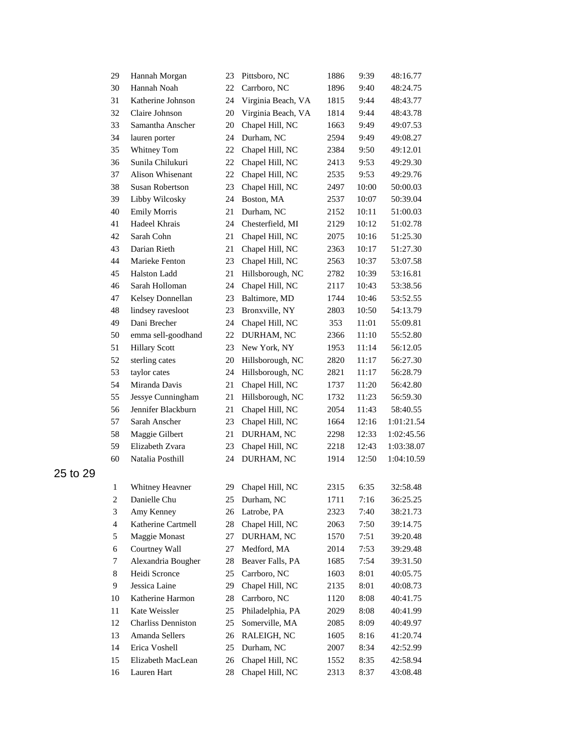| 29                       | Hannah Morgan             | 23 | Pittsboro, NC      | 1886 | 9:39  | 48:16.77   |
|--------------------------|---------------------------|----|--------------------|------|-------|------------|
| 30                       | Hannah Noah               | 22 | Carrboro, NC       | 1896 | 9:40  | 48:24.75   |
| 31                       | Katherine Johnson         | 24 | Virginia Beach, VA | 1815 | 9:44  | 48:43.77   |
| 32                       | Claire Johnson            | 20 | Virginia Beach, VA | 1814 | 9:44  | 48:43.78   |
| 33                       | Samantha Anscher          | 20 | Chapel Hill, NC    | 1663 | 9:49  | 49:07.53   |
| 34                       | lauren porter             | 24 | Durham, NC         | 2594 | 9:49  | 49:08.27   |
| 35                       | Whitney Tom               | 22 | Chapel Hill, NC    | 2384 | 9:50  | 49:12.01   |
| 36                       | Sunila Chilukuri          | 22 | Chapel Hill, NC    | 2413 | 9:53  | 49:29.30   |
| 37                       | Alison Whisenant          | 22 | Chapel Hill, NC    | 2535 | 9:53  | 49:29.76   |
| 38                       | Susan Robertson           | 23 | Chapel Hill, NC    | 2497 | 10:00 | 50:00.03   |
| 39                       | Libby Wilcosky            | 24 | Boston, MA         | 2537 | 10:07 | 50:39.04   |
| 40                       | <b>Emily Morris</b>       | 21 | Durham, NC         | 2152 | 10:11 | 51:00.03   |
| 41                       | Hadeel Khrais             | 24 | Chesterfield, MI   | 2129 | 10:12 | 51:02.78   |
| 42                       | Sarah Cohn                | 21 | Chapel Hill, NC    | 2075 | 10:16 | 51:25.30   |
| 43                       | Darian Rieth              | 21 | Chapel Hill, NC    | 2363 | 10:17 | 51:27.30   |
| 44                       | Marieke Fenton            | 23 | Chapel Hill, NC    | 2563 | 10:37 | 53:07.58   |
| 45                       | Halston Ladd              | 21 | Hillsborough, NC   | 2782 | 10:39 | 53:16.81   |
| 46                       | Sarah Holloman            | 24 | Chapel Hill, NC    | 2117 | 10:43 | 53:38.56   |
| 47                       | Kelsey Donnellan          | 23 | Baltimore, MD      | 1744 | 10:46 | 53:52.55   |
| 48                       | lindsey ravesloot         | 23 | Bronxville, NY     | 2803 | 10:50 | 54:13.79   |
| 49                       | Dani Brecher              | 24 | Chapel Hill, NC    | 353  | 11:01 | 55:09.81   |
| 50                       | emma sell-goodhand        | 22 | DURHAM, NC         | 2366 | 11:10 | 55:52.80   |
| 51                       | <b>Hillary Scott</b>      | 23 | New York, NY       | 1953 | 11:14 | 56:12.05   |
| 52                       | sterling cates            | 20 | Hillsborough, NC   | 2820 | 11:17 | 56:27.30   |
| 53                       | taylor cates              | 24 | Hillsborough, NC   | 2821 | 11:17 | 56:28.79   |
| 54                       | Miranda Davis             | 21 | Chapel Hill, NC    | 1737 | 11:20 | 56:42.80   |
| 55                       | Jessye Cunningham         | 21 | Hillsborough, NC   | 1732 | 11:23 | 56:59.30   |
| 56                       | Jennifer Blackburn        | 21 | Chapel Hill, NC    | 2054 | 11:43 | 58:40.55   |
| 57                       | Sarah Anscher             | 23 | Chapel Hill, NC    | 1664 | 12:16 | 1:01:21.54 |
| 58                       | Maggie Gilbert            | 21 | DURHAM, NC         | 2298 | 12:33 | 1:02:45.56 |
| 59                       | Elizabeth Zvara           | 23 | Chapel Hill, NC    | 2218 | 12:43 | 1:03:38.07 |
| 60                       | Natalia Posthill          | 24 | DURHAM, NC         | 1914 | 12:50 | 1:04:10.59 |
| $\mathbf{1}$             | Whitney Heavner           |    | 29 Chapel Hill, NC | 2315 | 6:35  | 32:58.48   |
| $\overline{c}$           | Danielle Chu              |    | 25 Durham, NC      | 1711 | 7:16  | 36:25.25   |
| 3                        | Amy Kenney                | 26 | Latrobe, PA        | 2323 | 7:40  | 38:21.73   |
| $\overline{\mathcal{A}}$ | Katherine Cartmell        | 28 | Chapel Hill, NC    | 2063 | 7:50  | 39:14.75   |
| 5                        | Maggie Monast             | 27 | DURHAM, NC         | 1570 | 7:51  | 39:20.48   |
| 6                        | Courtney Wall             | 27 | Medford, MA        | 2014 | 7:53  | 39:29.48   |
| 7                        | Alexandria Bougher        | 28 | Beaver Falls, PA   | 1685 | 7:54  | 39:31.50   |
| 8                        | Heidi Scronce             | 25 | Carrboro, NC       | 1603 | 8:01  | 40:05.75   |
| 9                        | Jessica Laine             | 29 | Chapel Hill, NC    | 2135 | 8:01  | 40:08.73   |
| 10                       | Katherine Harmon          | 28 | Carrboro, NC       | 1120 | 8:08  | 40:41.75   |
| 11                       | Kate Weissler             | 25 | Philadelphia, PA   | 2029 | 8:08  | 40:41.99   |
| 12                       | <b>Charliss Denniston</b> | 25 | Somerville, MA     | 2085 | 8:09  | 40:49.97   |
| 13                       | Amanda Sellers            | 26 | RALEIGH, NC        | 1605 | 8:16  | 41:20.74   |
| 14                       | Erica Voshell             | 25 | Durham, NC         | 2007 | 8:34  | 42:52.99   |
| 15                       | Elizabeth MacLean         | 26 | Chapel Hill, NC    | 1552 | 8:35  | 42:58.94   |
| 16                       | Lauren Hart               | 28 | Chapel Hill, NC    | 2313 | 8:37  | 43:08.48   |
|                          |                           |    |                    |      |       |            |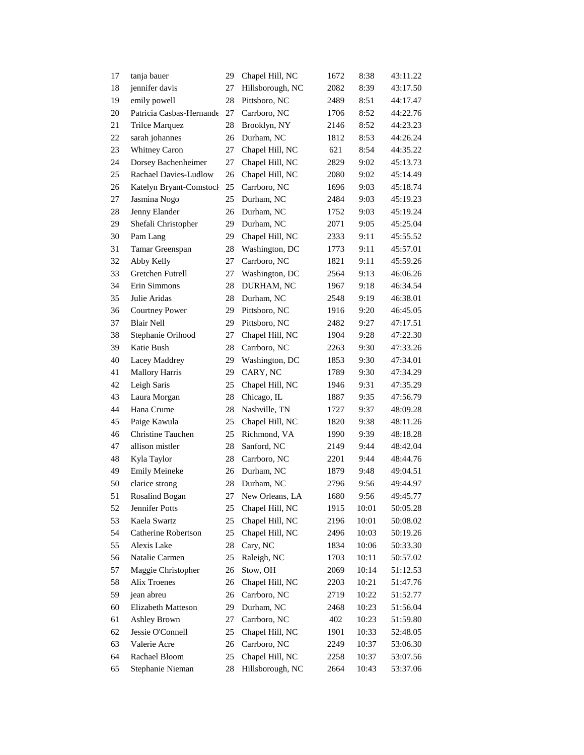| 17 | tanja bauer              | 29     | Chapel Hill, NC  | 1672 | 8:38  | 43:11.22 |
|----|--------------------------|--------|------------------|------|-------|----------|
| 18 | jennifer davis           | 27     | Hillsborough, NC | 2082 | 8:39  | 43:17.50 |
| 19 | emily powell             | 28     | Pittsboro, NC    | 2489 | 8:51  | 44:17.47 |
| 20 | Patricia Casbas-Hernande | 27     | Carrboro, NC     | 1706 | 8:52  | 44:22.76 |
| 21 | Trilce Marquez           | 28     | Brooklyn, NY     | 2146 | 8:52  | 44:23.23 |
| 22 | sarah johannes           | 26     | Durham, NC       | 1812 | 8:53  | 44:26.24 |
| 23 | Whitney Caron            | 27     | Chapel Hill, NC  | 621  | 8:54  | 44:35.22 |
| 24 | Dorsey Bachenheimer      | 27     | Chapel Hill, NC  | 2829 | 9:02  | 45:13.73 |
| 25 | Rachael Davies-Ludlow    | 26     | Chapel Hill, NC  | 2080 | 9:02  | 45:14.49 |
| 26 | Katelyn Bryant-Comstocl  | 25     | Carrboro, NC     | 1696 | 9:03  | 45:18.74 |
| 27 | Jasmina Nogo             | 25     | Durham, NC       | 2484 | 9:03  | 45:19.23 |
| 28 | Jenny Elander            | 26     | Durham, NC       | 1752 | 9:03  | 45:19.24 |
| 29 | Shefali Christopher      | 29     | Durham, NC       | 2071 | 9:05  | 45:25.04 |
| 30 | Pam Lang                 | 29     | Chapel Hill, NC  | 2333 | 9:11  | 45:55.52 |
| 31 | Tamar Greenspan          | 28     | Washington, DC   | 1773 | 9:11  | 45:57.01 |
| 32 | Abby Kelly               | 27     | Carrboro, NC     | 1821 | 9:11  | 45:59.26 |
| 33 | Gretchen Futrell         | 27     | Washington, DC   | 2564 | 9:13  | 46:06.26 |
| 34 | Erin Simmons             | 28     | DURHAM, NC       | 1967 | 9:18  | 46:34.54 |
| 35 | Julie Aridas             | 28     | Durham, NC       | 2548 | 9:19  | 46:38.01 |
| 36 | <b>Courtney Power</b>    | 29     | Pittsboro, NC    | 1916 | 9:20  | 46:45.05 |
| 37 | <b>Blair Nell</b>        | 29     | Pittsboro, NC    | 2482 | 9:27  | 47:17.51 |
| 38 | Stephanie Orihood        | 27     | Chapel Hill, NC  | 1904 | 9:28  | 47:22.30 |
| 39 | Katie Bush               | 28     | Carrboro, NC     | 2263 | 9:30  | 47:33.26 |
| 40 | Lacey Maddrey            | 29     | Washington, DC   | 1853 | 9:30  | 47:34.01 |
| 41 | <b>Mallory Harris</b>    | 29     | CARY, NC         | 1789 | 9:30  | 47:34.29 |
| 42 | Leigh Saris              | 25     | Chapel Hill, NC  | 1946 | 9:31  | 47:35.29 |
| 43 | Laura Morgan             | 28     | Chicago, IL      | 1887 | 9:35  | 47:56.79 |
| 44 | Hana Crume               | 28     | Nashville, TN    | 1727 | 9:37  | 48:09.28 |
| 45 | Paige Kawula             | 25     | Chapel Hill, NC  | 1820 | 9:38  | 48:11.26 |
| 46 | <b>Christine Tauchen</b> | 25     | Richmond, VA     | 1990 | 9:39  | 48:18.28 |
| 47 | allison mistler          | 28     | Sanford, NC      | 2149 | 9:44  | 48:42.04 |
| 48 | Kyla Taylor              | 28     | Carrboro, NC     | 2201 | 9:44  | 48:44.76 |
| 49 | <b>Emily Meineke</b>     | 26     | Durham, NC       | 1879 | 9:48  | 49:04.51 |
| 50 | clarice strong           | 28     | Durham, NC       | 2796 | 9:56  | 49:44.97 |
| 51 | Rosalind Bogan           | 27     | New Orleans, LA  | 1680 | 9:56  | 49:45.77 |
| 52 | Jennifer Potts           | 25     | Chapel Hill, NC  | 1915 | 10:01 | 50:05.28 |
| 53 | Kaela Swartz             | 25     | Chapel Hill, NC  | 2196 | 10:01 | 50:08.02 |
| 54 | Catherine Robertson      | 25     | Chapel Hill, NC  | 2496 | 10:03 | 50:19.26 |
| 55 | Alexis Lake              | 28     | Cary, NC         | 1834 | 10:06 | 50:33.30 |
| 56 | Natalie Carmen           | 25     | Raleigh, NC      | 1703 | 10:11 | 50:57.02 |
| 57 | Maggie Christopher       | 26     | Stow, OH         | 2069 | 10:14 | 51:12.53 |
| 58 | Alix Troenes             | 26     | Chapel Hill, NC  | 2203 | 10:21 | 51:47.76 |
| 59 | jean abreu               | 26     | Carrboro, NC     | 2719 | 10:22 | 51:52.77 |
| 60 | Elizabeth Matteson       | 29     | Durham, NC       | 2468 | 10:23 | 51:56.04 |
| 61 | <b>Ashley Brown</b>      | 27     | Carrboro, NC     | 402  | 10:23 | 51:59.80 |
| 62 | Jessie O'Connell         | 25     | Chapel Hill, NC  | 1901 | 10:33 | 52:48.05 |
| 63 | Valerie Acre             | 26     | Carrboro, NC     | 2249 | 10:37 | 53:06.30 |
| 64 | Rachael Bloom            | 25     | Chapel Hill, NC  | 2258 | 10:37 | 53:07.56 |
| 65 | Stephanie Nieman         | $28\,$ | Hillsborough, NC | 2664 | 10:43 | 53:37.06 |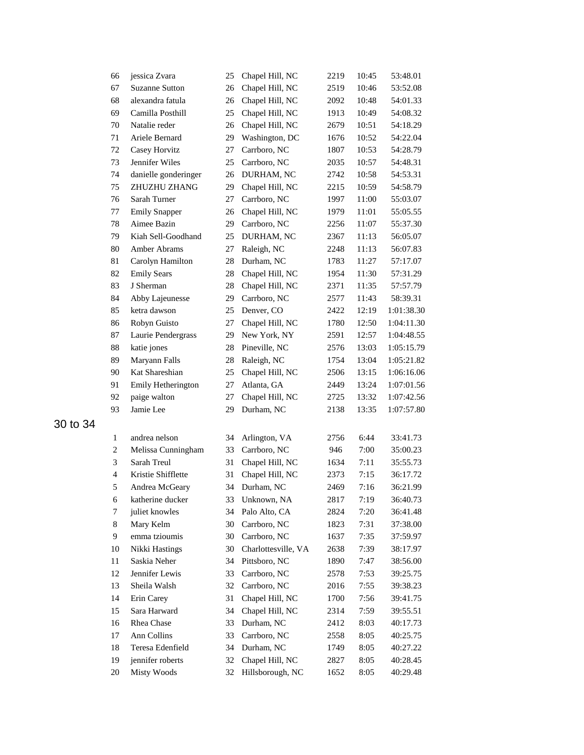| 66             | jessica Zvara         | 25 | Chapel Hill, NC     | 2219 | 10:45 | 53:48.01   |
|----------------|-----------------------|----|---------------------|------|-------|------------|
| 67             | <b>Suzanne Sutton</b> | 26 | Chapel Hill, NC     | 2519 | 10:46 | 53:52.08   |
| 68             | alexandra fatula      | 26 | Chapel Hill, NC     | 2092 | 10:48 | 54:01.33   |
| 69             | Camilla Posthill      | 25 | Chapel Hill, NC     | 1913 | 10:49 | 54:08.32   |
| 70             | Natalie reder         | 26 | Chapel Hill, NC     | 2679 | 10:51 | 54:18.29   |
| 71             | Ariele Bernard        | 29 | Washington, DC      | 1676 | 10:52 | 54:22.04   |
| 72             | Casey Horvitz         | 27 | Carrboro, NC        | 1807 | 10:53 | 54:28.79   |
| 73             | Jennifer Wiles        | 25 | Carrboro, NC        | 2035 | 10:57 | 54:48.31   |
| 74             | danielle gonderinger  | 26 | DURHAM, NC          | 2742 | 10:58 | 54:53.31   |
| 75             | ZHUZHU ZHANG          | 29 | Chapel Hill, NC     | 2215 | 10:59 | 54:58.79   |
| 76             | Sarah Turner          | 27 | Carrboro, NC        | 1997 | 11:00 | 55:03.07   |
| 77             | <b>Emily Snapper</b>  | 26 | Chapel Hill, NC     | 1979 | 11:01 | 55:05.55   |
| 78             | Aimee Bazin           | 29 | Carrboro, NC        | 2256 | 11:07 | 55:37.30   |
| 79             | Kiah Sell-Goodhand    | 25 | DURHAM, NC          | 2367 | 11:13 | 56:05.07   |
| 80             | Amber Abrams          | 27 | Raleigh, NC         | 2248 | 11:13 | 56:07.83   |
| 81             | Carolyn Hamilton      | 28 | Durham, NC          | 1783 | 11:27 | 57:17.07   |
| 82             | <b>Emily Sears</b>    | 28 | Chapel Hill, NC     | 1954 | 11:30 | 57:31.29   |
| 83             | J Sherman             | 28 | Chapel Hill, NC     | 2371 | 11:35 | 57:57.79   |
| 84             | Abby Lajeunesse       | 29 | Carrboro, NC        | 2577 | 11:43 | 58:39.31   |
| 85             | ketra dawson          | 25 | Denver, CO          | 2422 | 12:19 | 1:01:38.30 |
| 86             | Robyn Guisto          | 27 | Chapel Hill, NC     | 1780 | 12:50 | 1:04:11.30 |
| 87             | Laurie Pendergrass    | 29 | New York, NY        | 2591 | 12:57 | 1:04:48.55 |
| 88             | katie jones           | 28 | Pineville, NC       | 2576 | 13:03 | 1:05:15.79 |
| 89             | Maryann Falls         | 28 | Raleigh, NC         | 1754 | 13:04 | 1:05:21.82 |
| 90             | Kat Shareshian        | 25 | Chapel Hill, NC     | 2506 | 13:15 | 1:06:16.06 |
| 91             | Emily Hetherington    | 27 | Atlanta, GA         | 2449 | 13:24 | 1:07:01.56 |
| 92             | paige walton          | 27 | Chapel Hill, NC     | 2725 | 13:32 | 1:07:42.56 |
| 93             | Jamie Lee             | 29 | Durham, NC          | 2138 | 13:35 | 1:07:57.80 |
| $\mathbf{1}$   | andrea nelson         | 34 | Arlington, VA       | 2756 | 6:44  | 33:41.73   |
| 2              | Melissa Cunningham    | 33 | Carrboro, NC        | 946  | 7:00  | 35:00.23   |
| 3              | Sarah Treul           | 31 | Chapel Hill, NC     | 1634 | 7:11  | 35:55.73   |
| $\overline{4}$ | Kristie Shifflette    | 31 | Chapel Hill, NC     | 2373 | 7:15  | 36:17.72   |
| 5              | Andrea McGeary        | 34 | Durham, NC          | 2469 | 7:16  | 36:21.99   |
| 6              | katherine ducker      |    | 33 Unknown, NA      | 2817 | 7:19  | 36:40.73   |
| 7              | juliet knowles        | 34 | Palo Alto, CA       | 2824 | 7:20  | 36:41.48   |
| 8              | Mary Kelm             | 30 | Carrboro, NC        | 1823 | 7:31  | 37:38.00   |
| 9              | emma tzioumis         | 30 | Carrboro, NC        | 1637 | 7:35  | 37:59.97   |
| 10             | Nikki Hastings        | 30 | Charlottesville, VA | 2638 | 7:39  | 38:17.97   |
| 11             | Saskia Neher          | 34 | Pittsboro, NC       | 1890 | 7:47  | 38:56.00   |
| 12             | Jennifer Lewis        | 33 | Carrboro, NC        | 2578 | 7:53  | 39:25.75   |
| 13             | Sheila Walsh          | 32 | Carrboro, NC        | 2016 | 7:55  | 39:38.23   |
| 14             | Erin Carey            | 31 | Chapel Hill, NC     | 1700 | 7:56  | 39:41.75   |
| 15             | Sara Harward          | 34 | Chapel Hill, NC     | 2314 | 7:59  | 39:55.51   |
| 16             | <b>Rhea</b> Chase     | 33 | Durham, NC          | 2412 | 8:03  | 40:17.73   |
| 17             | Ann Collins           | 33 | Carrboro, NC        | 2558 | 8:05  | 40:25.75   |
| 18             | Teresa Edenfield      | 34 | Durham, NC          | 1749 | 8:05  | 40:27.22   |
| 19             | jennifer roberts      | 32 | Chapel Hill, NC     | 2827 | 8:05  | 40:28.45   |
| 20             | <b>Misty Woods</b>    | 32 | Hillsborough, NC    | 1652 | 8:05  | 40:29.48   |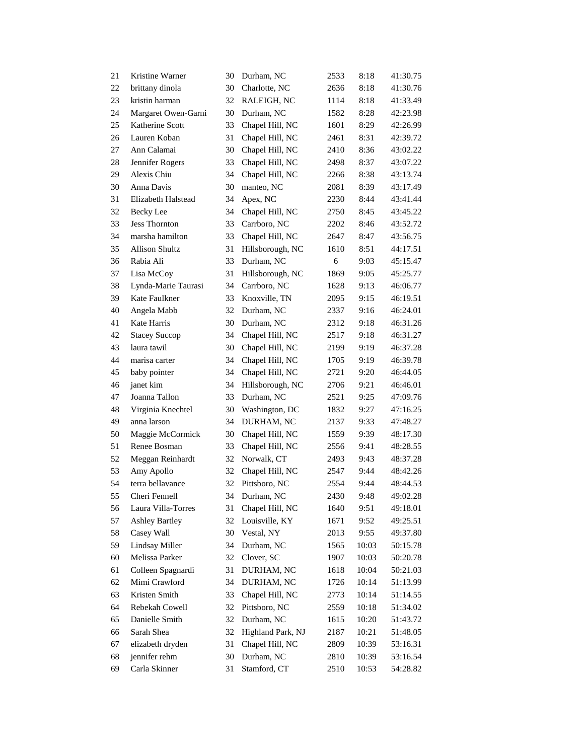| 21 | Kristine Warner       | 30 | Durham, NC        | 2533 | 8:18  | 41:30.75 |
|----|-----------------------|----|-------------------|------|-------|----------|
| 22 | brittany dinola       | 30 | Charlotte, NC     | 2636 | 8:18  | 41:30.76 |
| 23 | kristin harman        | 32 | RALEIGH, NC       | 1114 | 8:18  | 41:33.49 |
| 24 | Margaret Owen-Garni   | 30 | Durham, NC        | 1582 | 8:28  | 42:23.98 |
| 25 | Katherine Scott       | 33 | Chapel Hill, NC   | 1601 | 8:29  | 42:26.99 |
| 26 | Lauren Koban          | 31 | Chapel Hill, NC   | 2461 | 8:31  | 42:39.72 |
| 27 | Ann Calamai           | 30 | Chapel Hill, NC   | 2410 | 8:36  | 43:02.22 |
| 28 | Jennifer Rogers       | 33 | Chapel Hill, NC   | 2498 | 8:37  | 43:07.22 |
| 29 | Alexis Chiu           | 34 | Chapel Hill, NC   | 2266 | 8:38  | 43:13.74 |
| 30 | Anna Davis            | 30 | manteo, NC        | 2081 | 8:39  | 43:17.49 |
| 31 | Elizabeth Halstead    | 34 | Apex, NC          | 2230 | 8:44  | 43:41.44 |
| 32 | <b>Becky</b> Lee      | 34 | Chapel Hill, NC   | 2750 | 8:45  | 43:45.22 |
| 33 | <b>Jess Thornton</b>  | 33 | Carrboro, NC      | 2202 | 8:46  | 43:52.72 |
| 34 | marsha hamilton       | 33 | Chapel Hill, NC   | 2647 | 8:47  | 43:56.75 |
| 35 | <b>Allison Shultz</b> | 31 | Hillsborough, NC  | 1610 | 8:51  | 44:17.51 |
| 36 | Rabia Ali             | 33 | Durham, NC        | 6    | 9:03  | 45:15.47 |
| 37 | Lisa McCoy            | 31 | Hillsborough, NC  | 1869 | 9:05  | 45:25.77 |
| 38 | Lynda-Marie Taurasi   | 34 | Carrboro, NC      | 1628 | 9:13  | 46:06.77 |
| 39 | Kate Faulkner         | 33 | Knoxville, TN     | 2095 | 9:15  | 46:19.51 |
| 40 | Angela Mabb           | 32 | Durham, NC        | 2337 | 9:16  | 46:24.01 |
| 41 | Kate Harris           | 30 | Durham, NC        | 2312 | 9:18  | 46:31.26 |
| 42 | <b>Stacey Succop</b>  | 34 | Chapel Hill, NC   | 2517 | 9:18  | 46:31.27 |
| 43 | laura tawil           | 30 | Chapel Hill, NC   | 2199 | 9:19  | 46:37.28 |
| 44 | marisa carter         | 34 | Chapel Hill, NC   | 1705 | 9:19  | 46:39.78 |
| 45 | baby pointer          | 34 | Chapel Hill, NC   | 2721 | 9:20  | 46:44.05 |
| 46 | janet kim             | 34 | Hillsborough, NC  | 2706 | 9:21  | 46:46.01 |
| 47 | Joanna Tallon         | 33 | Durham, NC        | 2521 | 9:25  | 47:09.76 |
| 48 | Virginia Knechtel     | 30 | Washington, DC    | 1832 | 9:27  | 47:16.25 |
| 49 | anna larson           | 34 | DURHAM, NC        | 2137 | 9:33  | 47:48.27 |
| 50 | Maggie McCormick      | 30 | Chapel Hill, NC   | 1559 | 9:39  | 48:17.30 |
| 51 | Renee Bosman          | 33 | Chapel Hill, NC   | 2556 | 9:41  | 48:28.55 |
| 52 | Meggan Reinhardt      | 32 | Norwalk, CT       | 2493 | 9:43  | 48:37.28 |
| 53 | Amy Apollo            | 32 | Chapel Hill, NC   | 2547 | 9:44  | 48:42.26 |
| 54 | terra bellavance      | 32 | Pittsboro, NC     | 2554 | 9:44  | 48:44.53 |
| 55 | Cheri Fennell         | 34 | Durham, NC        | 2430 | 9:48  | 49:02.28 |
| 56 | Laura Villa-Torres    | 31 | Chapel Hill, NC   | 1640 | 9:51  | 49:18.01 |
| 57 | <b>Ashley Bartley</b> | 32 | Louisville, KY    | 1671 | 9:52  | 49:25.51 |
| 58 | Casey Wall            | 30 | Vestal, NY        | 2013 | 9:55  | 49:37.80 |
| 59 | <b>Lindsay Miller</b> | 34 | Durham, NC        | 1565 | 10:03 | 50:15.78 |
| 60 | Melissa Parker        | 32 | Clover, SC        | 1907 | 10:03 | 50:20.78 |
| 61 | Colleen Spagnardi     | 31 | DURHAM, NC        | 1618 | 10:04 | 50:21.03 |
| 62 | Mimi Crawford         | 34 | DURHAM, NC        | 1726 | 10:14 | 51:13.99 |
| 63 | Kristen Smith         | 33 | Chapel Hill, NC   | 2773 | 10:14 | 51:14.55 |
| 64 | Rebekah Cowell        | 32 | Pittsboro, NC     | 2559 | 10:18 | 51:34.02 |
| 65 | Danielle Smith        | 32 | Durham, NC        | 1615 | 10:20 | 51:43.72 |
| 66 | Sarah Shea            | 32 | Highland Park, NJ | 2187 | 10:21 | 51:48.05 |
| 67 | elizabeth dryden      | 31 | Chapel Hill, NC   | 2809 | 10:39 | 53:16.31 |
| 68 | jennifer rehm         | 30 | Durham, NC        | 2810 | 10:39 | 53:16.54 |
| 69 | Carla Skinner         | 31 | Stamford, CT      | 2510 | 10:53 | 54:28.82 |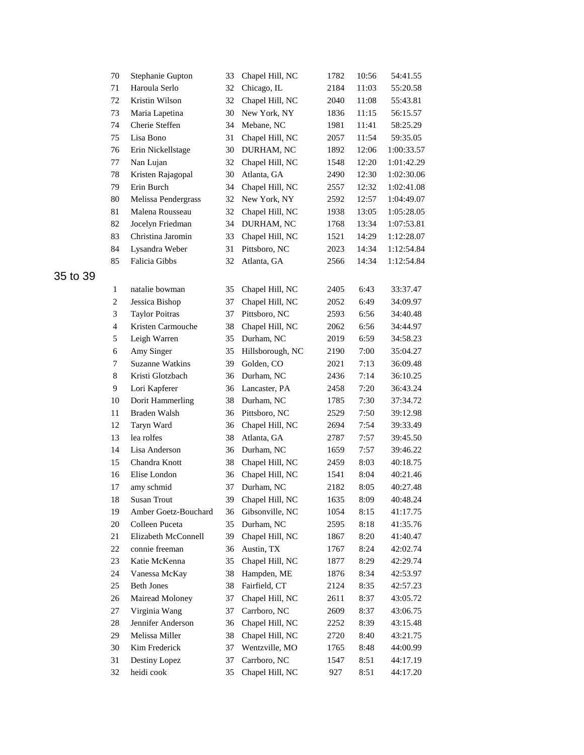|          | 70             | Stephanie Gupton       | 33 | Chapel Hill, NC    | 1782 | 10:56 | 54:41.55   |
|----------|----------------|------------------------|----|--------------------|------|-------|------------|
|          | 71             | Haroula Serlo          | 32 | Chicago, IL        | 2184 | 11:03 | 55:20.58   |
|          | 72             | Kristin Wilson         | 32 | Chapel Hill, NC    | 2040 | 11:08 | 55:43.81   |
|          | 73             | Maria Lapetina         | 30 | New York, NY       | 1836 | 11:15 | 56:15.57   |
|          | 74             | Cherie Steffen         | 34 | Mebane, NC         | 1981 | 11:41 | 58:25.29   |
|          | 75             | Lisa Bono              | 31 | Chapel Hill, NC    | 2057 | 11:54 | 59:35.05   |
|          | 76             | Erin Nickellstage      | 30 | DURHAM, NC         | 1892 | 12:06 | 1:00:33.57 |
|          | 77             | Nan Lujan              | 32 | Chapel Hill, NC    | 1548 | 12:20 | 1:01:42.29 |
|          | 78             | Kristen Rajagopal      | 30 | Atlanta, GA        | 2490 | 12:30 | 1:02:30.06 |
|          | 79             | Erin Burch             | 34 | Chapel Hill, NC    | 2557 | 12:32 | 1:02:41.08 |
|          | 80             | Melissa Pendergrass    | 32 | New York, NY       | 2592 | 12:57 | 1:04:49.07 |
|          | 81             | Malena Rousseau        | 32 | Chapel Hill, NC    | 1938 | 13:05 | 1:05:28.05 |
|          | 82             | Jocelyn Friedman       | 34 | DURHAM, NC         | 1768 | 13:34 | 1:07:53.81 |
|          | 83             | Christina Jaromin      | 33 | Chapel Hill, NC    | 1521 | 14:29 | 1:12:28.07 |
|          | 84             | Lysandra Weber         | 31 | Pittsboro, NC      | 2023 | 14:34 | 1:12:54.84 |
|          | 85             | Falicia Gibbs          | 32 | Atlanta, GA        | 2566 | 14:34 | 1:12:54.84 |
| 35 to 39 |                |                        |    |                    |      |       |            |
|          | $\mathbf{1}$   | natalie bowman         | 35 | Chapel Hill, NC    | 2405 | 6:43  | 33:37.47   |
|          | $\overline{c}$ | Jessica Bishop         | 37 | Chapel Hill, NC    | 2052 | 6:49  | 34:09.97   |
|          | 3              | <b>Taylor Poitras</b>  | 37 | Pittsboro, NC      | 2593 | 6:56  | 34:40.48   |
|          | $\overline{4}$ | Kristen Carmouche      | 38 | Chapel Hill, NC    | 2062 | 6:56  | 34:44.97   |
|          | 5              | Leigh Warren           | 35 | Durham, NC         | 2019 | 6:59  | 34:58.23   |
|          | 6              | Amy Singer             | 35 | Hillsborough, NC   | 2190 | 7:00  | 35:04.27   |
|          | 7              | <b>Suzanne Watkins</b> | 39 | Golden, CO         | 2021 | 7:13  | 36:09.48   |
|          | 8              | Kristi Glotzbach       | 36 | Durham, NC         | 2436 | 7:14  | 36:10.25   |
|          | 9              | Lori Kapferer          | 36 | Lancaster, PA      | 2458 | 7:20  | 36:43.24   |
|          | 10             | Dorit Hammerling       | 38 | Durham, NC         | 1785 | 7:30  | 37:34.72   |
|          | 11             | Braden Walsh           | 36 | Pittsboro, NC      | 2529 | 7:50  | 39:12.98   |
|          | 12             | Taryn Ward             | 36 | Chapel Hill, NC    | 2694 | 7:54  | 39:33.49   |
|          | 13             | lea rolfes             | 38 | Atlanta, GA        | 2787 | 7:57  | 39:45.50   |
|          | 14             | Lisa Anderson          | 36 | Durham, NC         | 1659 | 7:57  | 39:46.22   |
|          | 15             | Chandra Knott          | 38 | Chapel Hill, NC    | 2459 | 8:03  | 40:18.75   |
|          | 16             | Elise London           | 36 | Chapel Hill, NC    | 1541 | 8:04  | 40:21.46   |
|          | 17             | amy schmid             | 37 | Durham, NC         | 2182 | 8:05  | 40:27.48   |
|          | 18             | Susan Trout            |    | 39 Chapel Hill, NC | 1635 | 8:09  | 40:48.24   |
|          | 19             | Amber Goetz-Bouchard   | 36 | Gibsonville, NC    | 1054 | 8:15  | 41:17.75   |
|          | $20\,$         | Colleen Puceta         | 35 | Durham, NC         | 2595 | 8:18  | 41:35.76   |
|          | 21             | Elizabeth McConnell    | 39 | Chapel Hill, NC    | 1867 | 8:20  | 41:40.47   |
|          | 22             | connie freeman         | 36 | Austin, TX         | 1767 | 8:24  | 42:02.74   |
|          | 23             | Katie McKenna          | 35 | Chapel Hill, NC    | 1877 | 8:29  | 42:29.74   |
|          | 24             | Vanessa McKay          | 38 | Hampden, ME        | 1876 | 8:34  | 42:53.97   |
|          | 25             | <b>Beth Jones</b>      | 38 | Fairfield, CT      | 2124 | 8:35  | 42:57.23   |
|          | 26             | Mairead Moloney        | 37 | Chapel Hill, NC    | 2611 | 8:37  | 43:05.72   |
|          | 27             | Virginia Wang          | 37 | Carrboro, NC       | 2609 | 8:37  | 43:06.75   |
|          | 28             | Jennifer Anderson      | 36 | Chapel Hill, NC    | 2252 | 8:39  | 43:15.48   |
|          | 29             | Melissa Miller         | 38 | Chapel Hill, NC    | 2720 | 8:40  | 43:21.75   |
|          | 30             | Kim Frederick          | 37 | Wentzville, MO     | 1765 | 8:48  | 44:00.99   |
|          | 31             | Destiny Lopez          | 37 | Carrboro, NC       | 1547 | 8:51  | 44:17.19   |
|          | 32             | heidi cook             | 35 | Chapel Hill, NC    | 927  | 8:51  | 44:17.20   |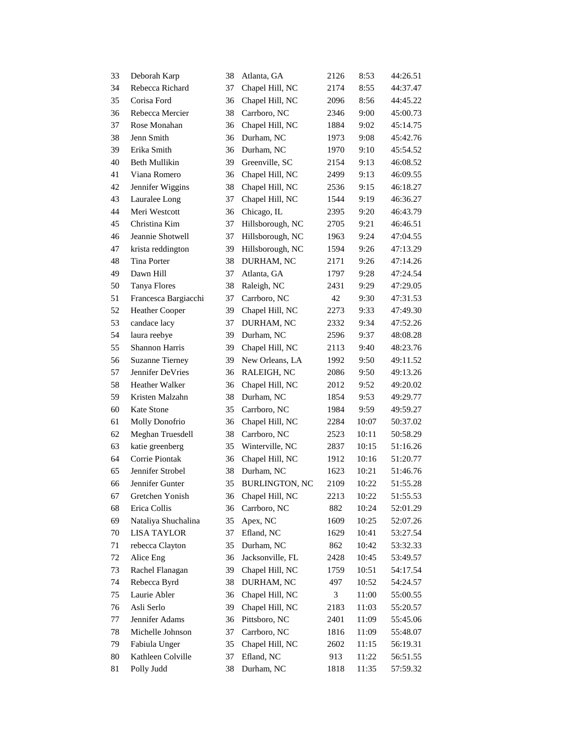| 33     | Deborah Karp           | 38 | Atlanta, GA           | 2126 | 8:53  | 44:26.51 |
|--------|------------------------|----|-----------------------|------|-------|----------|
| 34     | Rebecca Richard        | 37 | Chapel Hill, NC       | 2174 | 8:55  | 44:37.47 |
| 35     | Corisa Ford            | 36 | Chapel Hill, NC       | 2096 | 8:56  | 44:45.22 |
| 36     | Rebecca Mercier        | 38 | Carrboro, NC          | 2346 | 9:00  | 45:00.73 |
| 37     | Rose Monahan           | 36 | Chapel Hill, NC       | 1884 | 9:02  | 45:14.75 |
| 38     | Jenn Smith             | 36 | Durham, NC            | 1973 | 9:08  | 45:42.76 |
| 39     | Erika Smith            | 36 | Durham, NC            | 1970 | 9:10  | 45:54.52 |
| 40     | Beth Mullikin          | 39 | Greenville, SC        | 2154 | 9:13  | 46:08.52 |
| 41     | Viana Romero           | 36 | Chapel Hill, NC       | 2499 | 9:13  | 46:09.55 |
| 42     | Jennifer Wiggins       | 38 | Chapel Hill, NC       | 2536 | 9:15  | 46:18.27 |
| 43     | Lauralee Long          | 37 | Chapel Hill, NC       | 1544 | 9:19  | 46:36.27 |
| 44     | Meri Westcott          | 36 | Chicago, IL           | 2395 | 9:20  | 46:43.79 |
| 45     | Christina Kim          | 37 | Hillsborough, NC      | 2705 | 9:21  | 46:46.51 |
| 46     | Jeannie Shotwell       | 37 | Hillsborough, NC      | 1963 | 9:24  | 47:04.55 |
| 47     | krista reddington      | 39 | Hillsborough, NC      | 1594 | 9:26  | 47:13.29 |
| 48     | Tina Porter            | 38 | DURHAM, NC            | 2171 | 9:26  | 47:14.26 |
| 49     | Dawn Hill              | 37 | Atlanta, GA           | 1797 | 9:28  | 47:24.54 |
| 50     | <b>Tanya Flores</b>    | 38 | Raleigh, NC           | 2431 | 9:29  | 47:29.05 |
| 51     | Francesca Bargiacchi   | 37 | Carrboro, NC          | 42   | 9:30  | 47:31.53 |
| 52     | Heather Cooper         | 39 | Chapel Hill, NC       | 2273 | 9:33  | 47:49.30 |
| 53     | candace lacy           | 37 | DURHAM, NC            | 2332 | 9:34  | 47:52.26 |
| 54     | laura reebye           | 39 | Durham, NC            | 2596 | 9:37  | 48:08.28 |
| 55     | Shannon Harris         | 39 | Chapel Hill, NC       | 2113 | 9:40  | 48:23.76 |
| 56     | <b>Suzanne Tierney</b> | 39 | New Orleans, LA       | 1992 | 9:50  | 49:11.52 |
| 57     | Jennifer DeVries       | 36 | RALEIGH, NC           | 2086 | 9:50  | 49:13.26 |
| 58     | Heather Walker         | 36 | Chapel Hill, NC       | 2012 | 9:52  | 49:20.02 |
| 59     | Kristen Malzahn        | 38 | Durham, NC            | 1854 | 9:53  | 49:29.77 |
| 60     | Kate Stone             | 35 | Carrboro, NC          | 1984 | 9:59  | 49:59.27 |
| 61     | Molly Donofrio         | 36 | Chapel Hill, NC       | 2284 | 10:07 | 50:37.02 |
| 62     | Meghan Truesdell       | 38 | Carrboro, NC          | 2523 | 10:11 | 50:58.29 |
| 63     | katie greenberg        | 35 | Winterville, NC       | 2837 | 10:15 | 51:16.26 |
| 64     | Corrie Piontak         | 36 | Chapel Hill, NC       | 1912 | 10:16 | 51:20.77 |
| 65     | Jennifer Strobel       | 38 | Durham, NC            | 1623 | 10:21 | 51:46.76 |
| 66     | Jennifer Gunter        | 35 | <b>BURLINGTON, NC</b> | 2109 | 10:22 | 51:55.28 |
| 67     | Gretchen Yonish        | 36 | Chapel Hill, NC       | 2213 | 10:22 | 51:55.53 |
| 68     | Erica Collis           | 36 | Carrboro, NC          | 882  | 10:24 | 52:01.29 |
| 69     | Nataliya Shuchalina    | 35 | Apex, NC              | 1609 | 10:25 | 52:07.26 |
| 70     | <b>LISA TAYLOR</b>     | 37 | Efland, NC            | 1629 | 10:41 | 53:27.54 |
| 71     | rebecca Clayton        | 35 | Durham, NC            | 862  | 10:42 | 53:32.33 |
| $72\,$ | Alice Eng              | 36 | Jacksonville, FL      | 2428 | 10:45 | 53:49.57 |
| 73     | Rachel Flanagan        | 39 | Chapel Hill, NC       | 1759 | 10:51 | 54:17.54 |
| 74     | Rebecca Byrd           | 38 | DURHAM, NC            | 497  | 10:52 | 54:24.57 |
| 75     | Laurie Abler           | 36 | Chapel Hill, NC       | 3    | 11:00 | 55:00.55 |
| 76     | Asli Serlo             | 39 | Chapel Hill, NC       | 2183 | 11:03 | 55:20.57 |
| 77     | Jennifer Adams         | 36 | Pittsboro, NC         | 2401 | 11:09 | 55:45.06 |
| 78     | Michelle Johnson       | 37 | Carrboro, NC          | 1816 | 11:09 | 55:48.07 |
| 79     | Fabiula Unger          | 35 | Chapel Hill, NC       | 2602 | 11:15 | 56:19.31 |
| 80     | Kathleen Colville      | 37 | Efland, NC            | 913  | 11:22 | 56:51.55 |
| 81     | Polly Judd             | 38 | Durham, NC            | 1818 | 11:35 | 57:59.32 |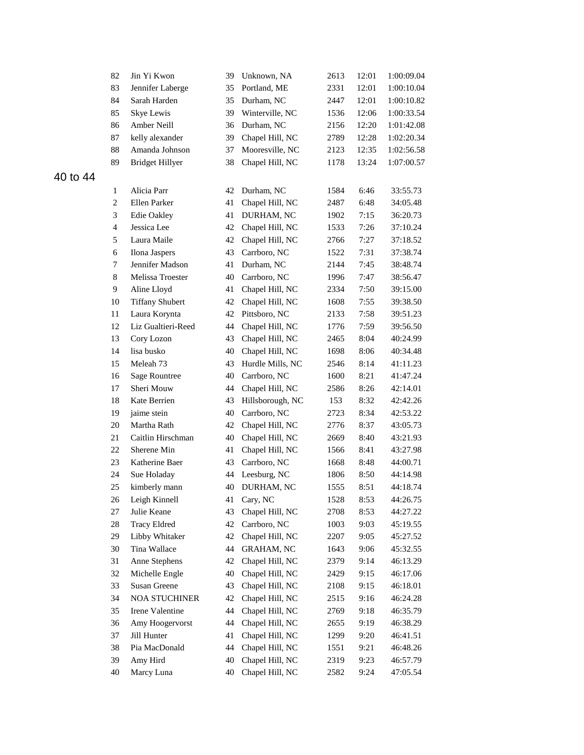|          | 82             | Jin Yi Kwon            | 39 | Unknown, NA       | 2613 | 12:01 | 1:00:09.04 |
|----------|----------------|------------------------|----|-------------------|------|-------|------------|
|          | 83             | Jennifer Laberge       | 35 | Portland, ME      | 2331 | 12:01 | 1:00:10.04 |
|          | 84             | Sarah Harden           | 35 | Durham, NC        | 2447 | 12:01 | 1:00:10.82 |
|          | 85             | Skye Lewis             | 39 | Winterville, NC   | 1536 | 12:06 | 1:00:33.54 |
|          | 86             | Amber Neill            | 36 | Durham, NC        | 2156 | 12:20 | 1:01:42.08 |
|          | 87             | kelly alexander        | 39 | Chapel Hill, NC   | 2789 | 12:28 | 1:02:20.34 |
|          | 88             | Amanda Johnson         | 37 | Mooresville, NC   | 2123 | 12:35 | 1:02:56.58 |
|          | 89             | <b>Bridget Hillyer</b> | 38 | Chapel Hill, NC   | 1178 | 13:24 | 1:07:00.57 |
| 40 to 44 |                |                        |    |                   |      |       |            |
|          | 1              | Alicia Parr            | 42 | Durham, NC        | 1584 | 6:46  | 33:55.73   |
|          | $\overline{c}$ | Ellen Parker           | 41 | Chapel Hill, NC   | 2487 | 6:48  | 34:05.48   |
|          | 3              | Edie Oakley            | 41 | DURHAM, NC        | 1902 | 7:15  | 36:20.73   |
|          | $\overline{4}$ | Jessica Lee            | 42 | Chapel Hill, NC   | 1533 | 7:26  | 37:10.24   |
|          | 5              | Laura Maile            | 42 | Chapel Hill, NC   | 2766 | 7:27  | 37:18.52   |
|          | 6              | Ilona Jaspers          | 43 | Carrboro, NC      | 1522 | 7:31  | 37:38.74   |
|          | 7              | Jennifer Madson        | 41 | Durham, NC        | 2144 | 7:45  | 38:48.74   |
|          | $8\,$          | Melissa Troester       | 40 | Carrboro, NC      | 1996 | 7:47  | 38:56.47   |
|          | 9              | Aline Lloyd            | 41 | Chapel Hill, NC   | 2334 | 7:50  | 39:15.00   |
|          | 10             | <b>Tiffany Shubert</b> | 42 | Chapel Hill, NC   | 1608 | 7:55  | 39:38.50   |
|          | 11             | Laura Korynta          | 42 | Pittsboro, NC     | 2133 | 7:58  | 39:51.23   |
|          | 12             | Liz Gualtieri-Reed     | 44 | Chapel Hill, NC   | 1776 | 7:59  | 39:56.50   |
|          | 13             | Cory Lozon             | 43 | Chapel Hill, NC   | 2465 | 8:04  | 40:24.99   |
|          | 14             | lisa busko             | 40 | Chapel Hill, NC   | 1698 | 8:06  | 40:34.48   |
|          | 15             | Meleah 73              | 43 | Hurdle Mills, NC  | 2546 | 8:14  | 41:11.23   |
|          | 16             | <b>Sage Rountree</b>   | 40 | Carrboro, NC      | 1600 | 8:21  | 41:47.24   |
|          | 17             | Sheri Mouw             | 44 | Chapel Hill, NC   | 2586 | 8:26  | 42:14.01   |
|          | 18             | Kate Berrien           | 43 | Hillsborough, NC  | 153  | 8:32  | 42:42.26   |
|          | 19             | jaime stein            | 40 | Carrboro, NC      | 2723 | 8:34  | 42:53.22   |
|          | 20             | Martha Rath            | 42 | Chapel Hill, NC   | 2776 | 8:37  | 43:05.73   |
|          | 21             | Caitlin Hirschman      | 40 | Chapel Hill, NC   | 2669 | 8:40  | 43:21.93   |
|          | 22             | Sherene Min            | 41 | Chapel Hill, NC   | 1566 | 8:41  | 43:27.98   |
|          | 23             | Katherine Baer         | 43 | Carrboro, NC      | 1668 | 8:48  | 44:00.71   |
|          | 24             | Sue Holaday            | 44 | Leesburg, NC      | 1806 | 8:50  | 44:14.98   |
|          | 25             | kimberly mann          | 40 | DURHAM, NC        | 1555 | 8:51  | 44:18.74   |
|          | 26             | Leigh Kinnell          | 41 | Cary, NC          | 1528 | 8:53  | 44:26.75   |
|          | 27             | Julie Keane            | 43 | Chapel Hill, NC   | 2708 | 8:53  | 44:27.22   |
|          | 28             | <b>Tracy Eldred</b>    | 42 | Carrboro, NC      | 1003 | 9:03  | 45:19.55   |
|          | 29             | Libby Whitaker         | 42 | Chapel Hill, NC   | 2207 | 9:05  | 45:27.52   |
|          | 30             | Tina Wallace           | 44 | <b>GRAHAM, NC</b> | 1643 | 9:06  | 45:32.55   |
|          | 31             | Anne Stephens          | 42 | Chapel Hill, NC   | 2379 | 9:14  | 46:13.29   |
|          | 32             | Michelle Engle         | 40 | Chapel Hill, NC   | 2429 | 9:15  | 46:17.06   |
|          | 33             | Susan Greene           | 43 | Chapel Hill, NC   | 2108 | 9:15  | 46:18.01   |
|          | 34             | <b>NOA STUCHINER</b>   | 42 | Chapel Hill, NC   | 2515 | 9:16  | 46:24.28   |
|          | 35             | Irene Valentine        | 44 | Chapel Hill, NC   | 2769 | 9:18  | 46:35.79   |
|          | 36             | Amy Hoogervorst        | 44 | Chapel Hill, NC   | 2655 | 9:19  | 46:38.29   |
|          | 37             | Jill Hunter            | 41 | Chapel Hill, NC   | 1299 | 9:20  | 46:41.51   |
|          | 38             | Pia MacDonald          | 44 | Chapel Hill, NC   | 1551 | 9:21  | 46:48.26   |
|          | 39             | Amy Hird               | 40 | Chapel Hill, NC   | 2319 | 9:23  | 46:57.79   |
|          | 40             | Marcy Luna             | 40 | Chapel Hill, NC   | 2582 | 9:24  | 47:05.54   |
|          |                |                        |    |                   |      |       |            |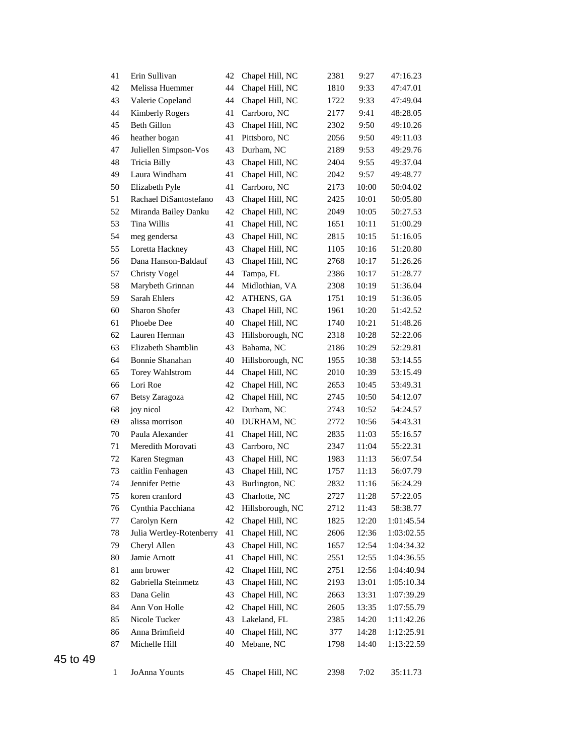| 41 | Erin Sullivan            | 42 | Chapel Hill, NC  | 2381 | 9:27  | 47:16.23   |
|----|--------------------------|----|------------------|------|-------|------------|
| 42 | Melissa Huemmer          | 44 | Chapel Hill, NC  | 1810 | 9:33  | 47:47.01   |
| 43 | Valerie Copeland         | 44 | Chapel Hill, NC  | 1722 | 9:33  | 47:49.04   |
| 44 | <b>Kimberly Rogers</b>   | 41 | Carrboro, NC     | 2177 | 9:41  | 48:28.05   |
| 45 | <b>Beth Gillon</b>       | 43 | Chapel Hill, NC  | 2302 | 9:50  | 49:10.26   |
| 46 | heather bogan            | 41 | Pittsboro, NC    | 2056 | 9:50  | 49:11.03   |
| 47 | Juliellen Simpson-Vos    | 43 | Durham, NC       | 2189 | 9:53  | 49:29.76   |
| 48 | Tricia Billy             | 43 | Chapel Hill, NC  | 2404 | 9:55  | 49:37.04   |
| 49 | Laura Windham            | 41 | Chapel Hill, NC  | 2042 | 9:57  | 49:48.77   |
| 50 | Elizabeth Pyle           | 41 | Carrboro, NC     | 2173 | 10:00 | 50:04.02   |
| 51 | Rachael DiSantostefano   | 43 | Chapel Hill, NC  | 2425 | 10:01 | 50:05.80   |
| 52 | Miranda Bailey Danku     | 42 | Chapel Hill, NC  | 2049 | 10:05 | 50:27.53   |
| 53 | Tina Willis              | 41 | Chapel Hill, NC  | 1651 | 10:11 | 51:00.29   |
| 54 | meg gendersa             | 43 | Chapel Hill, NC  | 2815 | 10:15 | 51:16.05   |
| 55 | Loretta Hackney          | 43 | Chapel Hill, NC  | 1105 | 10:16 | 51:20.80   |
| 56 | Dana Hanson-Baldauf      | 43 | Chapel Hill, NC  | 2768 | 10:17 | 51:26.26   |
| 57 | <b>Christy Vogel</b>     | 44 | Tampa, FL        | 2386 | 10:17 | 51:28.77   |
| 58 | Marybeth Grinnan         | 44 | Midlothian, VA   | 2308 | 10:19 | 51:36.04   |
| 59 | Sarah Ehlers             | 42 | ATHENS, GA       | 1751 | 10:19 | 51:36.05   |
| 60 | <b>Sharon Shofer</b>     | 43 | Chapel Hill, NC  | 1961 | 10:20 | 51:42.52   |
| 61 | Phoebe Dee               | 40 | Chapel Hill, NC  | 1740 | 10:21 | 51:48.26   |
| 62 | Lauren Herman            | 43 | Hillsborough, NC | 2318 | 10:28 | 52:22.06   |
| 63 | Elizabeth Shamblin       | 43 | Bahama, NC       | 2186 | 10:29 | 52:29.81   |
| 64 | Bonnie Shanahan          | 40 | Hillsborough, NC | 1955 | 10:38 | 53:14.55   |
| 65 | <b>Torey Wahlstrom</b>   | 44 | Chapel Hill, NC  | 2010 | 10:39 | 53:15.49   |
| 66 | Lori Roe                 | 42 | Chapel Hill, NC  | 2653 | 10:45 | 53:49.31   |
| 67 | Betsy Zaragoza           | 42 | Chapel Hill, NC  | 2745 | 10:50 | 54:12.07   |
| 68 | joy nicol                | 42 | Durham, NC       | 2743 | 10:52 | 54:24.57   |
| 69 | alissa morrison          | 40 | DURHAM, NC       | 2772 | 10:56 | 54:43.31   |
| 70 | Paula Alexander          | 41 | Chapel Hill, NC  | 2835 | 11:03 | 55:16.57   |
| 71 | Meredith Morovati        | 43 | Carrboro, NC     | 2347 | 11:04 | 55:22.31   |
| 72 | Karen Stegman            | 43 | Chapel Hill, NC  | 1983 | 11:13 | 56:07.54   |
| 73 | caitlin Fenhagen         | 43 | Chapel Hill, NC  | 1757 | 11:13 | 56:07.79   |
| 74 | Jennifer Pettie          | 43 | Burlington, NC   | 2832 | 11:16 | 56:24.29   |
| 75 | koren cranford           | 43 | Charlotte, NC    | 2727 | 11:28 | 57:22.05   |
| 76 | Cynthia Pacchiana        | 42 | Hillsborough, NC | 2712 | 11:43 | 58:38.77   |
| 77 | Carolyn Kern             | 42 | Chapel Hill, NC  | 1825 | 12:20 | 1:01:45.54 |
| 78 | Julia Wertley-Rotenberry | 41 | Chapel Hill, NC  | 2606 | 12:36 | 1:03:02.55 |
| 79 | Cheryl Allen             | 43 | Chapel Hill, NC  | 1657 | 12:54 | 1:04:34.32 |
| 80 | Jamie Arnott             | 41 | Chapel Hill, NC  | 2551 | 12:55 | 1:04:36.55 |
| 81 | ann brower               | 42 | Chapel Hill, NC  | 2751 | 12:56 | 1:04:40.94 |
| 82 | Gabriella Steinmetz      | 43 | Chapel Hill, NC  | 2193 | 13:01 | 1:05:10.34 |
| 83 | Dana Gelin               | 43 | Chapel Hill, NC  | 2663 | 13:31 | 1:07:39.29 |
| 84 | Ann Von Holle            | 42 | Chapel Hill, NC  | 2605 | 13:35 | 1:07:55.79 |
| 85 | Nicole Tucker            | 43 | Lakeland, FL     | 2385 | 14:20 | 1:11:42.26 |
| 86 | Anna Brimfield           | 40 | Chapel Hill, NC  | 377  | 14:28 | 1:12:25.91 |
| 87 | Michelle Hill            | 40 | Mebane, NC       | 1798 | 14:40 | 1:13:22.59 |
|    |                          |    |                  |      |       |            |
| 1  | JoAnna Younts            | 45 | Chapel Hill, NC  | 2398 | 7:02  | 35:11.73   |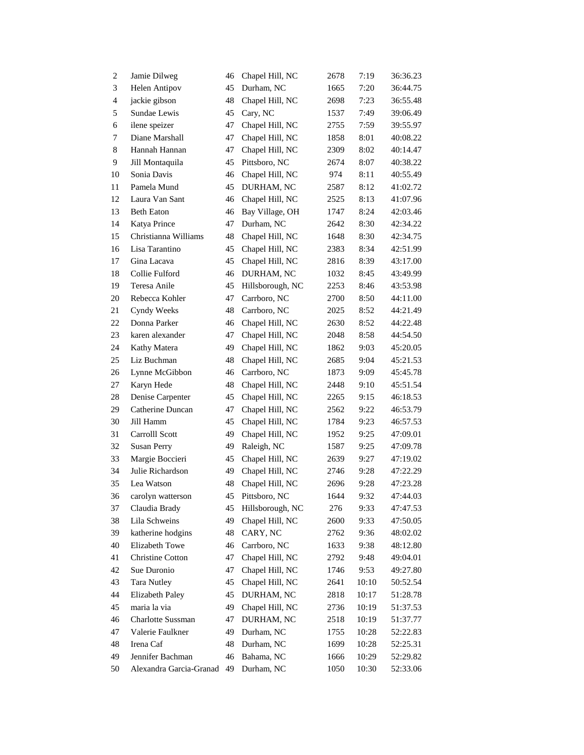| $\overline{c}$          | Jamie Dilweg             | 46 | Chapel Hill, NC  | 2678 | 7:19  | 36:36.23 |
|-------------------------|--------------------------|----|------------------|------|-------|----------|
| 3                       | <b>Helen Antipov</b>     | 45 | Durham, NC       | 1665 | 7:20  | 36:44.75 |
| $\overline{\mathbf{4}}$ | jackie gibson            | 48 | Chapel Hill, NC  | 2698 | 7:23  | 36:55.48 |
| 5                       | Sundae Lewis             | 45 | Cary, NC         | 1537 | 7:49  | 39:06.49 |
| 6                       | ilene speizer            | 47 | Chapel Hill, NC  | 2755 | 7:59  | 39:55.97 |
| 7                       | Diane Marshall           | 47 | Chapel Hill, NC  | 1858 | 8:01  | 40:08.22 |
| $\,8\,$                 | Hannah Hannan            | 47 | Chapel Hill, NC  | 2309 | 8:02  | 40:14.47 |
| 9                       | Jill Montaquila          | 45 | Pittsboro, NC    | 2674 | 8:07  | 40:38.22 |
| 10                      | Sonia Davis              | 46 | Chapel Hill, NC  | 974  | 8:11  | 40:55.49 |
| 11                      | Pamela Mund              | 45 | DURHAM, NC       | 2587 | 8:12  | 41:02.72 |
| 12                      | Laura Van Sant           | 46 | Chapel Hill, NC  | 2525 | 8:13  | 41:07.96 |
| 13                      | <b>Beth Eaton</b>        | 46 | Bay Village, OH  | 1747 | 8:24  | 42:03.46 |
| 14                      | Katya Prince             | 47 | Durham, NC       | 2642 | 8:30  | 42:34.22 |
| 15                      | Christianna Williams     | 48 | Chapel Hill, NC  | 1648 | 8:30  | 42:34.75 |
| 16                      | Lisa Tarantino           | 45 | Chapel Hill, NC  | 2383 | 8:34  | 42:51.99 |
| 17                      | Gina Lacava              | 45 | Chapel Hill, NC  | 2816 | 8:39  | 43:17.00 |
| 18                      | Collie Fulford           | 46 | DURHAM, NC       | 1032 | 8:45  | 43:49.99 |
| 19                      | Teresa Anile             | 45 | Hillsborough, NC | 2253 | 8:46  | 43:53.98 |
| 20                      | Rebecca Kohler           | 47 | Carrboro, NC     | 2700 | 8:50  | 44:11.00 |
| 21                      | Cyndy Weeks              | 48 | Carrboro, NC     | 2025 | 8:52  | 44:21.49 |
| 22                      | Donna Parker             | 46 | Chapel Hill, NC  | 2630 | 8:52  | 44:22.48 |
| 23                      | karen alexander          | 47 | Chapel Hill, NC  | 2048 | 8:58  | 44:54.50 |
| 24                      | Kathy Matera             | 49 | Chapel Hill, NC  | 1862 | 9:03  | 45:20.05 |
| 25                      | Liz Buchman              | 48 | Chapel Hill, NC  | 2685 | 9:04  | 45:21.53 |
| 26                      | Lynne McGibbon           | 46 | Carrboro, NC     | 1873 | 9:09  | 45:45.78 |
| 27                      | Karyn Hede               | 48 | Chapel Hill, NC  | 2448 | 9:10  | 45:51.54 |
| 28                      | Denise Carpenter         | 45 | Chapel Hill, NC  | 2265 | 9:15  | 46:18.53 |
| 29                      | Catherine Duncan         | 47 | Chapel Hill, NC  | 2562 | 9:22  | 46:53.79 |
| 30                      | Jill Hamm                | 45 | Chapel Hill, NC  | 1784 | 9:23  | 46:57.53 |
| 31                      | Carrolll Scott           | 49 | Chapel Hill, NC  | 1952 | 9:25  | 47:09.01 |
| 32                      | <b>Susan Perry</b>       | 49 | Raleigh, NC      | 1587 | 9:25  | 47:09.78 |
| 33                      | Margie Boccieri          | 45 | Chapel Hill, NC  | 2639 | 9:27  | 47:19.02 |
| 34                      | Julie Richardson         | 49 | Chapel Hill, NC  | 2746 | 9:28  | 47:22.29 |
| 35                      | Lea Watson               | 48 | Chapel Hill, NC  | 2696 | 9:28  | 47:23.28 |
| 36                      | carolyn watterson        | 45 | Pittsboro, NC    | 1644 | 9:32  | 47:44.03 |
| 37                      | Claudia Brady            | 45 | Hillsborough, NC | 276  | 9:33  | 47:47.53 |
| 38                      | Lila Schweins            | 49 | Chapel Hill, NC  | 2600 | 9:33  | 47:50.05 |
| 39                      | katherine hodgins        | 48 | CARY, NC         | 2762 | 9:36  | 48:02.02 |
| 40                      | Elizabeth Towe           | 46 | Carrboro, NC     | 1633 | 9:38  | 48:12.80 |
| 41                      | Christine Cotton         | 47 | Chapel Hill, NC  | 2792 | 9:48  | 49:04.01 |
| 42                      | Sue Duronio              | 47 | Chapel Hill, NC  | 1746 | 9:53  | 49:27.80 |
| 43                      | Tara Nutley              | 45 | Chapel Hill, NC  | 2641 | 10:10 | 50:52.54 |
| 44                      | Elizabeth Paley          | 45 | DURHAM, NC       | 2818 | 10:17 | 51:28.78 |
| 45                      | maria la via             | 49 | Chapel Hill, NC  | 2736 | 10:19 | 51:37.53 |
| 46                      | <b>Charlotte Sussman</b> | 47 | DURHAM, NC       | 2518 | 10:19 | 51:37.77 |
| 47                      | Valerie Faulkner         | 49 | Durham, NC       | 1755 | 10:28 | 52:22.83 |
| 48                      | Irena Caf                | 48 | Durham, NC       | 1699 | 10:28 | 52:25.31 |
| 49                      | Jennifer Bachman         | 46 | Bahama, NC       | 1666 | 10:29 | 52:29.82 |
| 50                      | Alexandra Garcia-Granad  | 49 | Durham, NC       | 1050 | 10:30 | 52:33.06 |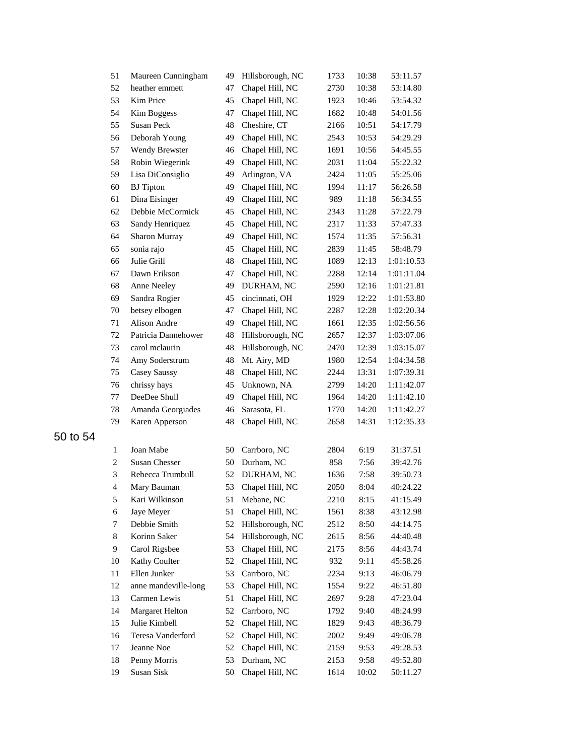| 51             | Maureen Cunningham     | 49 | Hillsborough, NC | 1733 | 10:38 | 53:11.57   |
|----------------|------------------------|----|------------------|------|-------|------------|
| 52             | heather emmett         | 47 | Chapel Hill, NC  | 2730 | 10:38 | 53:14.80   |
| 53             | Kim Price              | 45 | Chapel Hill, NC  | 1923 | 10:46 | 53:54.32   |
| 54             | Kim Boggess            | 47 | Chapel Hill, NC  | 1682 | 10:48 | 54:01.56   |
| 55             | Susan Peck             | 48 | Cheshire, CT     | 2166 | 10:51 | 54:17.79   |
| 56             | Deborah Young          | 49 | Chapel Hill, NC  | 2543 | 10:53 | 54:29.29   |
| 57             | Wendy Brewster         | 46 | Chapel Hill, NC  | 1691 | 10:56 | 54:45.55   |
| 58             | Robin Wiegerink        | 49 | Chapel Hill, NC  | 2031 | 11:04 | 55:22.32   |
| 59             | Lisa DiConsiglio       | 49 | Arlington, VA    | 2424 | 11:05 | 55:25.06   |
| 60             | <b>BJ</b> Tipton       | 49 | Chapel Hill, NC  | 1994 | 11:17 | 56:26.58   |
| 61             | Dina Eisinger          | 49 | Chapel Hill, NC  | 989  | 11:18 | 56:34.55   |
| 62             | Debbie McCormick       | 45 | Chapel Hill, NC  | 2343 | 11:28 | 57:22.79   |
| 63             | Sandy Henriquez        | 45 | Chapel Hill, NC  | 2317 | 11:33 | 57:47.33   |
| 64             | Sharon Murray          | 49 | Chapel Hill, NC  | 1574 | 11:35 | 57:56.31   |
| 65             | sonia rajo             | 45 | Chapel Hill, NC  | 2839 | 11:45 | 58:48.79   |
| 66             | Julie Grill            | 48 | Chapel Hill, NC  | 1089 | 12:13 | 1:01:10.53 |
| 67             | Dawn Erikson           | 47 | Chapel Hill, NC  | 2288 | 12:14 | 1:01:11.04 |
| 68             | Anne Neeley            | 49 | DURHAM, NC       | 2590 | 12:16 | 1:01:21.81 |
| 69             | Sandra Rogier          | 45 | cincinnati, OH   | 1929 | 12:22 | 1:01:53.80 |
| 70             | betsey elbogen         | 47 | Chapel Hill, NC  | 2287 | 12:28 | 1:02:20.34 |
| 71             | Alison Andre           | 49 | Chapel Hill, NC  | 1661 | 12:35 | 1:02:56.56 |
| 72             | Patricia Dannehower    | 48 | Hillsborough, NC | 2657 | 12:37 | 1:03:07.06 |
| 73             | carol mclaurin         | 48 | Hillsborough, NC | 2470 | 12:39 | 1:03:15.07 |
| 74             | Amy Soderstrum         | 48 | Mt. Airy, MD     | 1980 | 12:54 | 1:04:34.58 |
| 75             | Casey Saussy           | 48 | Chapel Hill, NC  | 2244 | 13:31 | 1:07:39.31 |
| 76             | chrissy hays           | 45 | Unknown, NA      | 2799 | 14:20 | 1:11:42.07 |
| 77             | DeeDee Shull           | 49 | Chapel Hill, NC  | 1964 | 14:20 | 1:11:42.10 |
| 78             | Amanda Georgiades      | 46 | Sarasota, FL     | 1770 | 14:20 | 1:11:42.27 |
| 79             | Karen Apperson         | 48 | Chapel Hill, NC  | 2658 | 14:31 | 1:12:35.33 |
|                |                        |    |                  |      |       |            |
| 1              | Joan Mabe              | 50 | Carrboro, NC     | 2804 | 6:19  | 31:37.51   |
| $\overline{c}$ | <b>Susan Chesser</b>   | 50 | Durham, NC       | 858  | 7:56  | 39:42.76   |
| 3              | Rebecca Trumbull       | 52 | DURHAM, NC       | 1636 | 7:58  | 39:50.73   |
| 4              | Mary Bauman            | 53 | Chapel Hill, NC  | 2050 | 8:04  | 40:24.22   |
| 5              | Kari Wilkinson         | 51 | Mebane, NC       | 2210 | 8:15  | 41:15.49   |
| 6              | Jaye Meyer             | 51 | Chapel Hill, NC  | 1561 | 8:38  | 43:12.98   |
| 7              | Debbie Smith           | 52 | Hillsborough, NC | 2512 | 8:50  | 44:14.75   |
| 8              | Korinn Saker           | 54 | Hillsborough, NC | 2615 | 8:56  | 44:40.48   |
| 9              | Carol Rigsbee          | 53 | Chapel Hill, NC  | 2175 | 8:56  | 44:43.74   |
| 10             | Kathy Coulter          | 52 | Chapel Hill, NC  | 932  | 9:11  | 45:58.26   |
| 11             | Ellen Junker           | 53 | Carrboro, NC     | 2234 | 9:13  | 46:06.79   |
| 12             | anne mandeville-long   | 53 | Chapel Hill, NC  | 1554 | 9:22  | 46:51.80   |
| 13             | Carmen Lewis           | 51 | Chapel Hill, NC  | 2697 | 9:28  | 47:23.04   |
| 14             | <b>Margaret Helton</b> | 52 | Carrboro, NC     | 1792 | 9:40  | 48:24.99   |
| 15             | Julie Kimbell          | 52 | Chapel Hill, NC  | 1829 | 9:43  | 48:36.79   |
| 16             | Teresa Vanderford      | 52 | Chapel Hill, NC  | 2002 | 9:49  | 49:06.78   |
| 17             | Jeanne Noe             | 52 | Chapel Hill, NC  | 2159 | 9:53  | 49:28.53   |
| 18             | Penny Morris           | 53 | Durham, NC       | 2153 | 9:58  | 49:52.80   |
| 19             | Susan Sisk             | 50 | Chapel Hill, NC  | 1614 | 10:02 | 50:11.27   |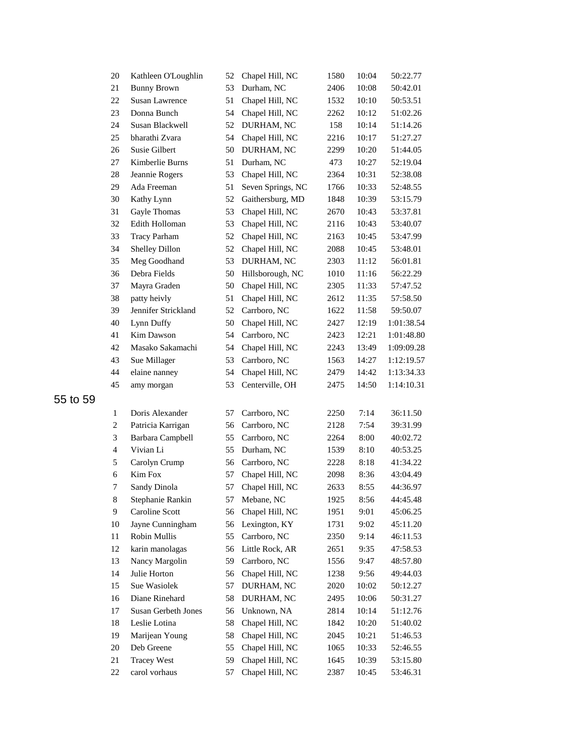| 20             | Kathleen O'Loughlin     | 52 | Chapel Hill, NC   | 1580 | 10:04 | 50:22.77   |
|----------------|-------------------------|----|-------------------|------|-------|------------|
| 21             | <b>Bunny Brown</b>      | 53 | Durham, NC        | 2406 | 10:08 | 50:42.01   |
| 22             | <b>Susan Lawrence</b>   | 51 | Chapel Hill, NC   | 1532 | 10:10 | 50:53.51   |
| 23             | Donna Bunch             | 54 | Chapel Hill, NC   | 2262 | 10:12 | 51:02.26   |
| 24             | Susan Blackwell         | 52 | DURHAM, NC        | 158  | 10:14 | 51:14.26   |
| 25             | bharathi Zvara          | 54 | Chapel Hill, NC   | 2216 | 10:17 | 51:27.27   |
| 26             | Susie Gilbert           | 50 | DURHAM, NC        | 2299 | 10:20 | 51:44.05   |
| 27             | Kimberlie Burns         | 51 | Durham, NC        | 473  | 10:27 | 52:19.04   |
| 28             | Jeannie Rogers          | 53 | Chapel Hill, NC   | 2364 | 10:31 | 52:38.08   |
| 29             | Ada Freeman             | 51 | Seven Springs, NC | 1766 | 10:33 | 52:48.55   |
| 30             | Kathy Lynn              | 52 | Gaithersburg, MD  | 1848 | 10:39 | 53:15.79   |
| 31             | Gayle Thomas            | 53 | Chapel Hill, NC   | 2670 | 10:43 | 53:37.81   |
| 32             | Edith Holloman          | 53 | Chapel Hill, NC   | 2116 | 10:43 | 53:40.07   |
| 33             | <b>Tracy Parham</b>     | 52 | Chapel Hill, NC   | 2163 | 10:45 | 53:47.99   |
| 34             | Shelley Dillon          | 52 | Chapel Hill, NC   | 2088 | 10:45 | 53:48.01   |
| 35             | Meg Goodhand            | 53 | DURHAM, NC        | 2303 | 11:12 | 56:01.81   |
| 36             | Debra Fields            | 50 | Hillsborough, NC  | 1010 | 11:16 | 56:22.29   |
| 37             | Mayra Graden            | 50 | Chapel Hill, NC   | 2305 | 11:33 | 57:47.52   |
| 38             | patty heivly            | 51 | Chapel Hill, NC   | 2612 | 11:35 | 57:58.50   |
| 39             | Jennifer Strickland     | 52 | Carrboro, NC      | 1622 | 11:58 | 59:50.07   |
| 40             | Lynn Duffy              | 50 | Chapel Hill, NC   | 2427 | 12:19 | 1:01:38.54 |
| 41             | Kim Dawson              | 54 | Carrboro, NC      | 2423 | 12:21 | 1:01:48.80 |
| 42             | Masako Sakamachi        | 54 | Chapel Hill, NC   | 2243 | 13:49 | 1:09:09.28 |
| 43             | Sue Millager            | 53 | Carrboro, NC      | 1563 | 14:27 | 1:12:19.57 |
| 44             | elaine nanney           | 54 | Chapel Hill, NC   | 2479 | 14:42 | 1:13:34.33 |
| 45             | amy morgan              | 53 | Centerville, OH   | 2475 | 14:50 | 1:14:10.31 |
| 1              | Doris Alexander         | 57 | Carrboro, NC      | 2250 | 7:14  | 36:11.50   |
| $\overline{c}$ | Patricia Karrigan       | 56 | Carrboro, NC      | 2128 | 7:54  | 39:31.99   |
| $\mathfrak{Z}$ | <b>Barbara Campbell</b> | 55 | Carrboro, NC      | 2264 | 8:00  | 40:02.72   |
| $\overline{4}$ | Vivian Li               | 55 | Durham, NC        | 1539 | 8:10  | 40:53.25   |
| 5              | Carolyn Crump           | 56 | Carrboro, NC      | 2228 | 8:18  | 41:34.22   |
| 6              | Kim Fox                 | 57 | Chapel Hill, NC   | 2098 | 8:36  | 43:04.49   |
| 7              | Sandy Dinola            | 57 | Chapel Hill, NC   | 2633 | 8:55  | 44:36.97   |
| 8              | Stephanie Rankin        | 57 | Mebane, NC        | 1925 | 8:56  | 44:45.48   |
| 9              | Caroline Scott          | 56 | Chapel Hill, NC   | 1951 | 9:01  | 45:06.25   |
| 10             | Jayne Cunningham        | 56 | Lexington, KY     | 1731 | 9:02  | 45:11.20   |
| 11             | Robin Mullis            | 55 | Carrboro, NC      | 2350 | 9:14  | 46:11.53   |
| 12             | karin manolagas         | 56 | Little Rock, AR   | 2651 | 9:35  | 47:58.53   |
| 13             | Nancy Margolin          | 59 | Carrboro, NC      | 1556 | 9:47  | 48:57.80   |
| 14             | Julie Horton            | 56 | Chapel Hill, NC   | 1238 | 9:56  | 49:44.03   |
| 15             | Sue Wasiolek            | 57 | DURHAM, NC        | 2020 | 10:02 | 50:12.27   |
| 16             | Diane Rinehard          | 58 | DURHAM, NC        | 2495 | 10:06 | 50:31.27   |
| 17             | Susan Gerbeth Jones     | 56 | Unknown, NA       | 2814 | 10:14 | 51:12.76   |
| 18             | Leslie Lotina           | 58 | Chapel Hill, NC   | 1842 | 10:20 | 51:40.02   |
| 19             | Marijean Young          | 58 | Chapel Hill, NC   | 2045 | 10:21 | 51:46.53   |
| 20             | Deb Greene              | 55 | Chapel Hill, NC   | 1065 | 10:33 | 52:46.55   |
| 21             | <b>Tracey West</b>      | 59 | Chapel Hill, NC   | 1645 | 10:39 | 53:15.80   |
| 22             | carol vorhaus           | 57 | Chapel Hill, NC   | 2387 | 10:45 | 53:46.31   |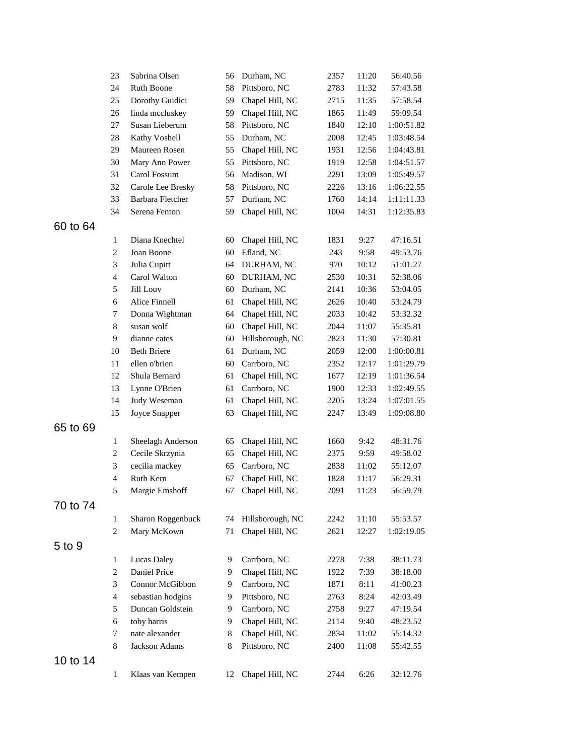|          | 23                      | Sabrina Olsen                         | 56 | Durham, NC       | 2357 | 11:20 | 56:40.56   |
|----------|-------------------------|---------------------------------------|----|------------------|------|-------|------------|
|          | 24                      | Ruth Boone                            | 58 | Pittsboro, NC    | 2783 | 11:32 | 57:43.58   |
|          | 25                      | Dorothy Guidici                       | 59 | Chapel Hill, NC  | 2715 | 11:35 | 57:58.54   |
|          | 26                      | linda mccluskey                       | 59 | Chapel Hill, NC  | 1865 | 11:49 | 59:09.54   |
|          | 27                      | Susan Lieberum                        | 58 | Pittsboro, NC    | 1840 | 12:10 | 1:00:51.82 |
|          | 28                      | Kathy Voshell                         | 55 | Durham, NC       | 2008 | 12:45 | 1:03:48.54 |
|          | 29                      | Maureen Rosen                         | 55 | Chapel Hill, NC  | 1931 | 12:56 | 1:04:43.81 |
|          | 30                      | Mary Ann Power                        | 55 | Pittsboro, NC    | 1919 | 12:58 | 1:04:51.57 |
|          | 31                      | Carol Fossum                          | 56 | Madison, WI      | 2291 | 13:09 | 1:05:49.57 |
|          | 32                      | Carole Lee Bresky                     | 58 | Pittsboro, NC    | 2226 | 13:16 | 1:06:22.55 |
|          | 33                      | Barbara Fletcher                      | 57 | Durham, NC       | 1760 | 14:14 | 1:11:11.33 |
|          | 34                      | Serena Fenton                         | 59 | Chapel Hill, NC  | 1004 | 14:31 | 1:12:35.83 |
| 60 to 64 |                         |                                       |    |                  |      |       |            |
|          | $\mathbf{1}$            | Diana Knechtel                        | 60 | Chapel Hill, NC  | 1831 | 9:27  | 47:16.51   |
|          | $\overline{c}$          | Joan Boone                            | 60 | Efland, NC       | 243  | 9:58  | 49:53.76   |
|          | 3                       | Julia Cupitt                          | 64 | DURHAM, NC       | 970  | 10:12 | 51:01.27   |
|          | $\overline{\mathbf{4}}$ | Carol Walton                          | 60 | DURHAM, NC       | 2530 | 10:31 | 52:38.06   |
|          | 5                       | Jill Louv                             | 60 | Durham, NC       | 2141 | 10:36 | 53:04.05   |
|          | 6                       | Alice Finnell                         | 61 | Chapel Hill, NC  | 2626 | 10:40 | 53:24.79   |
|          | 7                       |                                       |    |                  |      | 10:42 |            |
|          | $\,8\,$                 | Donna Wightman<br>susan wolf          | 64 | Chapel Hill, NC  | 2033 |       | 53:32.32   |
|          |                         |                                       | 60 | Chapel Hill, NC  | 2044 | 11:07 | 55:35.81   |
|          | 9                       | dianne cates                          | 60 | Hillsborough, NC | 2823 | 11:30 | 57:30.81   |
|          | 10                      | <b>Beth Briere</b>                    | 61 | Durham, NC       | 2059 | 12:00 | 1:00:00.81 |
|          | 11                      | ellen o'brien                         | 60 | Carrboro, NC     | 2352 | 12:17 | 1:01:29.79 |
|          | 12                      | Shula Bernard                         | 61 | Chapel Hill, NC  | 1677 | 12:19 | 1:01:36.54 |
|          | 13                      | Lynne O'Brien                         | 61 | Carrboro, NC     | 1900 | 12:33 | 1:02:49.55 |
|          | 14                      | Judy Weseman                          | 61 | Chapel Hill, NC  | 2205 | 13:24 | 1:07:01.55 |
|          | 15                      | Joyce Snapper                         | 63 | Chapel Hill, NC  | 2247 | 13:49 | 1:09:08.80 |
| 65 to 69 |                         |                                       |    |                  |      |       |            |
|          | $\mathbf{1}$            | Sheelagh Anderson                     | 65 | Chapel Hill, NC  | 1660 | 9:42  | 48:31.76   |
|          | $\overline{c}$          | Cecile Skrzynia                       | 65 | Chapel Hill, NC  | 2375 | 9:59  | 49:58.02   |
|          | 3                       | cecilia mackey                        | 65 | Carrboro, NC     | 2838 | 11:02 | 55:12.07   |
|          | $\overline{4}$          | Ruth Kern                             | 67 | Chapel Hill, NC  | 1828 | 11:17 | 56:29.31   |
|          | 5                       | Margie Emshoff                        | 67 | Chapel Hill, NC  | 2091 | 11:23 | 56:59.79   |
| 70 to 74 |                         |                                       |    |                  |      |       |            |
|          | 1                       | Sharon Roggenbuck                     | 74 | Hillsborough, NC | 2242 | 11:10 | 55:53.57   |
|          | $\overline{c}$          | Mary McKown                           | 71 | Chapel Hill, NC  | 2621 | 12:27 | 1:02:19.05 |
| 5 to 9   |                         |                                       |    |                  |      |       |            |
|          | $\mathbf{1}$            | <b>Lucas Daley</b>                    | 9  | Carrboro, NC     | 2278 | 7:38  | 38:11.73   |
|          | $\overline{c}$          | Daniel Price                          | 9  | Chapel Hill, NC  | 1922 | 7:39  | 38:18.00   |
|          |                         | Connor McGibbon                       | 9  | Carrboro, NC     |      |       |            |
|          | 3                       |                                       | 9  |                  | 1871 | 8:11  | 41:00.23   |
|          | $\overline{4}$          | sebastian hodgins<br>Duncan Goldstein |    | Pittsboro, NC    | 2763 | 8:24  | 42:03.49   |
|          | 5                       |                                       | 9  | Carrboro, NC     | 2758 | 9:27  | 47:19.54   |
|          | 6                       | toby harris                           | 9  | Chapel Hill, NC  | 2114 | 9:40  | 48:23.52   |
|          | 7                       | nate alexander                        | 8  | Chapel Hill, NC  | 2834 | 11:02 | 55:14.32   |
|          | 8                       | Jackson Adams                         | 8  | Pittsboro, NC    | 2400 | 11:08 | 55:42.55   |
| 10 to 14 |                         |                                       |    |                  |      |       |            |
|          | $\mathbf{1}$            | Klaas van Kempen                      | 12 | Chapel Hill, NC  | 2744 | 6:26  | 32:12.76   |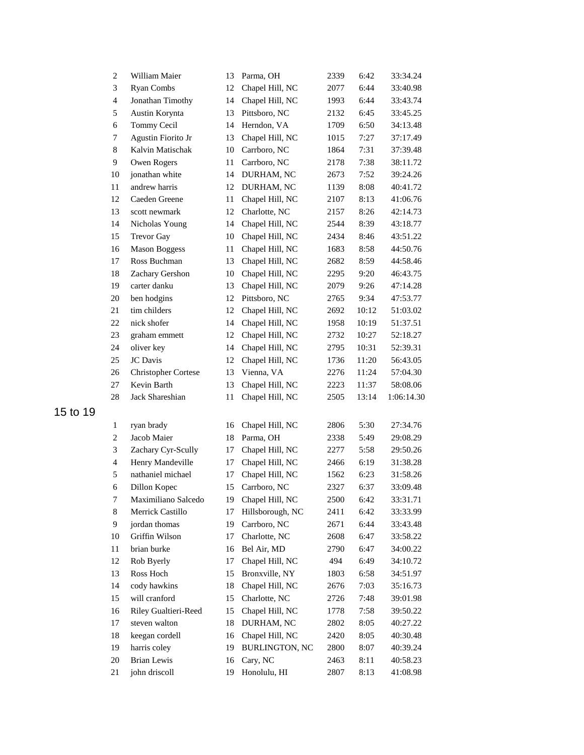| $\overline{c}$ | William Maier              | 13 | Parma, OH             | 2339 | 6:42  | 33:34.24   |
|----------------|----------------------------|----|-----------------------|------|-------|------------|
| 3              | <b>Ryan Combs</b>          | 12 | Chapel Hill, NC       | 2077 | 6:44  | 33:40.98   |
| $\overline{4}$ | Jonathan Timothy           | 14 | Chapel Hill, NC       | 1993 | 6:44  | 33:43.74   |
| 5              | Austin Korynta             | 13 | Pittsboro, NC         | 2132 | 6:45  | 33:45.25   |
| 6              | Tommy Cecil                | 14 | Herndon, VA           | 1709 | 6:50  | 34:13.48   |
| 7              | Agustin Fiorito Jr         | 13 | Chapel Hill, NC       | 1015 | 7:27  | 37:17.49   |
| 8              | Kalvin Matischak           | 10 | Carrboro, NC          | 1864 | 7:31  | 37:39.48   |
| 9              | Owen Rogers                | 11 | Carrboro, NC          | 2178 | 7:38  | 38:11.72   |
| 10             | jonathan white             | 14 | DURHAM, NC            | 2673 | 7:52  | 39:24.26   |
| 11             | andrew harris              | 12 | DURHAM, NC            | 1139 | 8:08  | 40:41.72   |
| 12             | Caeden Greene              | 11 | Chapel Hill, NC       | 2107 | 8:13  | 41:06.76   |
| 13             | scott newmark              | 12 | Charlotte, NC         | 2157 | 8:26  | 42:14.73   |
| 14             | Nicholas Young             | 14 | Chapel Hill, NC       | 2544 | 8:39  | 43:18.77   |
| 15             | Trevor Gay                 | 10 | Chapel Hill, NC       | 2434 | 8:46  | 43:51.22   |
| 16             | <b>Mason Boggess</b>       | 11 | Chapel Hill, NC       | 1683 | 8:58  | 44:50.76   |
| 17             | Ross Buchman               | 13 | Chapel Hill, NC       | 2682 | 8:59  | 44:58.46   |
| 18             | Zachary Gershon            | 10 | Chapel Hill, NC       | 2295 | 9:20  | 46:43.75   |
| 19             | carter danku               | 13 | Chapel Hill, NC       | 2079 | 9:26  | 47:14.28   |
| 20             | ben hodgins                | 12 | Pittsboro, NC         | 2765 | 9:34  | 47:53.77   |
| 21             | tim childers               | 12 | Chapel Hill, NC       | 2692 | 10:12 | 51:03.02   |
| 22             | nick shofer                | 14 | Chapel Hill, NC       | 1958 | 10:19 | 51:37.51   |
| 23             | graham emmett              | 12 | Chapel Hill, NC       | 2732 | 10:27 | 52:18.27   |
| 24             | oliver key                 | 14 | Chapel Hill, NC       | 2795 | 10:31 | 52:39.31   |
| 25             | <b>JC</b> Davis            | 12 | Chapel Hill, NC       | 1736 | 11:20 | 56:43.05   |
| 26             | <b>Christopher Cortese</b> | 13 | Vienna, VA            | 2276 | 11:24 | 57:04.30   |
| 27             | Kevin Barth                | 13 | Chapel Hill, NC       | 2223 | 11:37 | 58:08.06   |
| 28             | Jack Shareshian            | 11 | Chapel Hill, NC       | 2505 | 13:14 | 1:06:14.30 |
| $\mathbf{1}$   | ryan brady                 | 16 | Chapel Hill, NC       | 2806 | 5:30  | 27:34.76   |
| 2              | Jacob Maier                | 18 | Parma, OH             | 2338 | 5:49  | 29:08.29   |
| 3              | Zachary Cyr-Scully         | 17 | Chapel Hill, NC       | 2277 | 5:58  | 29:50.26   |
| $\overline{4}$ | Henry Mandeville           | 17 | Chapel Hill, NC       | 2466 | 6:19  | 31:38.28   |
| 5              | nathaniel michael          | 17 | Chapel Hill, NC       | 1562 | 6:23  | 31:58.26   |
| 6              | Dillon Kopec               | 15 | Carrboro, NC          | 2327 | 6:37  | 33:09.48   |
| 7              | Maximiliano Salcedo        | 19 | Chapel Hill, NC       | 2500 | 6:42  | 33:31.71   |
| 8              | Merrick Castillo           | 17 | Hillsborough, NC      | 2411 | 6:42  | 33:33.99   |
| 9              | jordan thomas              | 19 | Carrboro, NC          | 2671 | 6:44  | 33:43.48   |
| 10             | Griffin Wilson             | 17 | Charlotte, NC         | 2608 | 6:47  | 33:58.22   |
| 11             | brian burke                | 16 | Bel Air, MD           | 2790 | 6:47  | 34:00.22   |
| 12             | Rob Byerly                 | 17 | Chapel Hill, NC       | 494  | 6:49  | 34:10.72   |
| 13             | Ross Hoch                  | 15 | Bronxville, NY        | 1803 | 6:58  | 34:51.97   |
| 14             | cody hawkins               | 18 | Chapel Hill, NC       | 2676 | 7:03  | 35:16.73   |
| 15             | will cranford              | 15 | Charlotte, NC         | 2726 | 7:48  | 39:01.98   |
| 16             | Riley Gualtieri-Reed       | 15 | Chapel Hill, NC       | 1778 | 7:58  | 39:50.22   |
| 17             | steven walton              | 18 | DURHAM, NC            | 2802 | 8:05  | 40:27.22   |
| 18             | keegan cordell             | 16 | Chapel Hill, NC       | 2420 | 8:05  | 40:30.48   |
| 19             | harris coley               | 19 | <b>BURLINGTON, NC</b> | 2800 | 8:07  | 40:39.24   |
| 20             | <b>Brian Lewis</b>         | 16 | Cary, NC              | 2463 | 8:11  | 40:58.23   |
| 21             | john driscoll              | 19 | Honolulu, HI          | 2807 | 8:13  | 41:08.98   |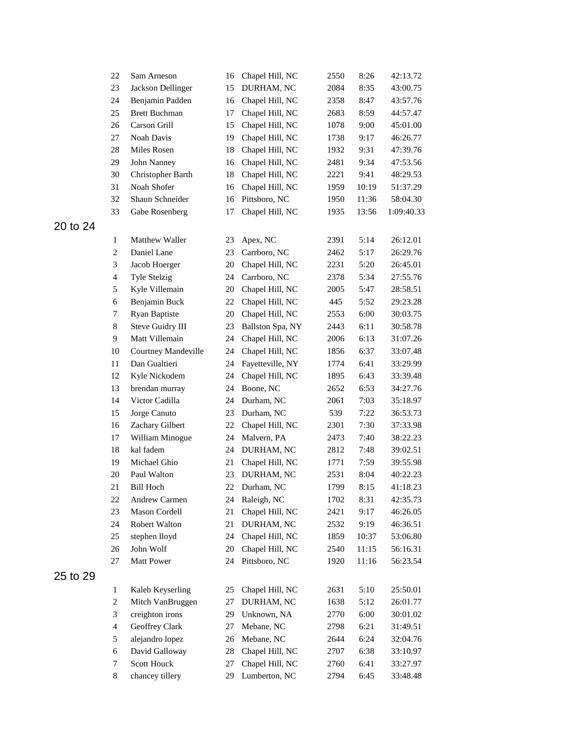|          | 22                       | Sam Arneson          | 16 | Chapel Hill, NC  | 2550 | 8:26  | 42:13.72   |
|----------|--------------------------|----------------------|----|------------------|------|-------|------------|
|          | 23                       | Jackson Dellinger    | 15 | DURHAM, NC       | 2084 | 8:35  | 43:00.75   |
|          | 24                       | Benjamin Padden      | 16 | Chapel Hill, NC  | 2358 | 8:47  | 43:57.76   |
|          | 25                       | <b>Brett Buchman</b> | 17 | Chapel Hill, NC  | 2683 | 8:59  | 44:57.47   |
|          | 26                       | Carson Grill         | 15 | Chapel Hill, NC  | 1078 | 9:00  | 45:01.00   |
|          | 27                       | Noah Davis           | 19 | Chapel Hill, NC  | 1738 | 9:17  | 46:26.77   |
|          | 28                       | Miles Rosen          | 18 | Chapel Hill, NC  | 1932 | 9:31  | 47:39.76   |
|          | 29                       | John Nanney          | 16 | Chapel Hill, NC  | 2481 | 9:34  | 47:53.56   |
|          | 30                       | Christopher Barth    | 18 | Chapel Hill, NC  | 2221 | 9:41  | 48:29.53   |
|          | 31                       | Noah Shofer          | 16 | Chapel Hill, NC  | 1959 | 10:19 | 51:37.29   |
|          | 32                       | Shaun Schneider      | 16 | Pittsboro, NC    | 1950 | 11:36 | 58:04.30   |
|          | 33                       | Gabe Rosenberg       | 17 | Chapel Hill, NC  | 1935 | 13:56 | 1:09:40.33 |
| 20 to 24 |                          |                      |    |                  |      |       |            |
|          | 1                        | Matthew Waller       | 23 | Apex, NC         | 2391 | 5:14  | 26:12.01   |
|          | $\boldsymbol{2}$         | Daniel Lane          | 23 | Carrboro, NC     | 2462 | 5:17  | 26:29.76   |
|          | 3                        | Jacob Hoerger        | 20 | Chapel Hill, NC  | 2231 | 5:20  | 26:45.01   |
|          | $\overline{\mathcal{A}}$ | <b>Tyle Stelzig</b>  | 24 | Carrboro, NC     | 2378 | 5:34  | 27:55.76   |
|          | 5                        | Kyle Villemain       | 20 | Chapel Hill, NC  | 2005 | 5:47  | 28:58.51   |
|          | 6                        | Benjamin Buck        | 22 | Chapel Hill, NC  | 445  | 5:52  | 29:23.28   |
|          | 7                        | Ryan Baptiste        | 20 | Chapel Hill, NC  | 2553 | 6:00  | 30:03.75   |
|          | $\,8\,$                  | Steve Guidry III     | 23 | Ballston Spa, NY | 2443 | 6:11  | 30:58.78   |
|          | 9                        | Matt Villemain       | 24 | Chapel Hill, NC  | 2006 | 6:13  | 31:07.26   |
|          | 10                       | Courtney Mandeville  | 24 | Chapel Hill, NC  | 1856 | 6:37  | 33:07.48   |
|          | 11                       | Dan Gualtieri        | 24 | Fayetteville, NY | 1774 | 6:41  | 33:29.99   |
|          | 12                       | Kyle Nickodem        | 24 | Chapel Hill, NC  | 1895 | 6:43  | 33:39.48   |
|          | 13                       | brendan murray       | 24 | Boone, NC        | 2652 | 6:53  | 34:27.76   |
|          | 14                       | Victor Cadilla       | 24 | Durham, NC       | 2061 | 7:03  | 35:18.97   |
|          | 15                       | Jorge Canuto         | 23 | Durham, NC       | 539  | 7:22  | 36:53.73   |
|          | 16                       | Zachary Gilbert      | 22 | Chapel Hill, NC  | 2301 | 7:30  | 37:33.98   |
|          | 17                       | William Minogue      | 24 | Malvern, PA      | 2473 | 7:40  | 38:22.23   |
|          | 18                       | kal fadem            | 24 | DURHAM, NC       | 2812 | 7:48  | 39:02.51   |
|          | 19                       | Michael Ghio         | 21 | Chapel Hill, NC  | 1771 | 7:59  | 39:55.98   |
|          | 20                       | Paul Walton          | 23 | DURHAM, NC       | 2531 | 8:04  | 40:22.23   |
|          | 21                       | <b>Bill Hoch</b>     | 22 | Durham, NC       | 1799 | 8:15  | 41:18.23   |
|          | 22                       | Andrew Carmen        |    | 24 Raleigh, NC   | 1702 | 8:31  | 42:35.73   |
|          | 23                       | Mason Cordell        | 21 | Chapel Hill, NC  | 2421 | 9:17  | 46:26.05   |
|          | 24                       | Robert Walton        | 21 | DURHAM, NC       | 2532 | 9:19  | 46:36.51   |
|          | 25                       | stephen lloyd        | 24 | Chapel Hill, NC  | 1859 | 10:37 | 53:06.80   |
|          | 26                       | John Wolf            | 20 | Chapel Hill, NC  | 2540 | 11:15 | 56:16.31   |
|          | 27                       | Matt Power           | 24 | Pittsboro, NC    | 1920 | 11:16 | 56:23.54   |
| 25 to 29 |                          |                      |    |                  |      |       |            |
|          | $\mathbf{1}$             | Kaleb Keyserling     | 25 | Chapel Hill, NC  | 2631 | 5:10  | 25:50.01   |
|          | $\boldsymbol{2}$         | Mitch VanBruggen     | 27 | DURHAM, NC       | 1638 | 5:12  | 26:01.77   |
|          | 3                        | creighton irons      | 29 | Unknown, NA      | 2770 | 6:00  | 30:01.02   |
|          | $\overline{4}$           | Geoffrey Clark       | 27 | Mebane, NC       | 2798 | 6:21  | 31:49.51   |
|          | 5                        | alejandro lopez      | 26 | Mebane, NC       | 2644 | 6:24  | 32:04.76   |
|          | 6                        | David Galloway       | 28 | Chapel Hill, NC  | 2707 | 6:38  | 33:10.97   |
|          | $\tau$                   | Scott Houck          | 27 | Chapel Hill, NC  | 2760 | 6:41  | 33:27.97   |
|          | 8                        | chancey tillery      | 29 | Lumberton, NC    | 2794 | 6:45  | 33:48.48   |
|          |                          |                      |    |                  |      |       |            |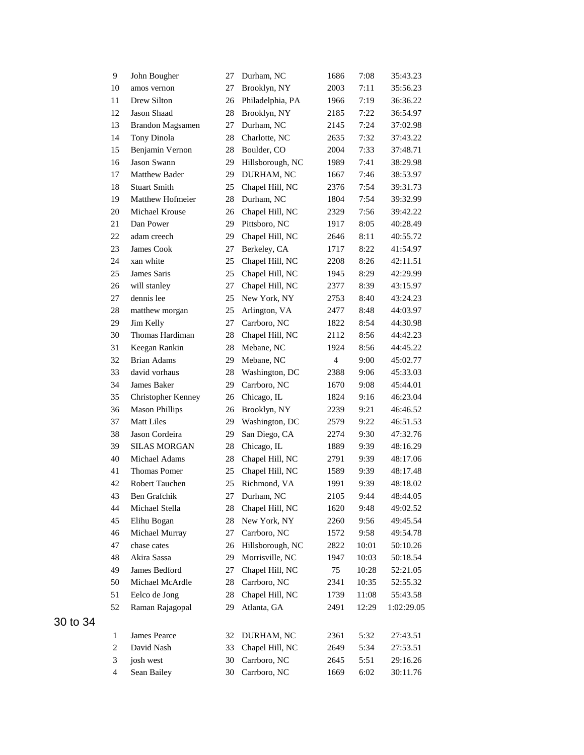| 9              | John Bougher            | 27 | Durham, NC       | 1686 | 7:08  | 35:43.23   |
|----------------|-------------------------|----|------------------|------|-------|------------|
| 10             | amos vernon             | 27 | Brooklyn, NY     | 2003 | 7:11  | 35:56.23   |
| 11             | Drew Silton             | 26 | Philadelphia, PA | 1966 | 7:19  | 36:36.22   |
| 12             | Jason Shaad             | 28 | Brooklyn, NY     | 2185 | 7:22  | 36:54.97   |
| 13             | <b>Brandon Magsamen</b> | 27 | Durham, NC       | 2145 | 7:24  | 37:02.98   |
| 14             | Tony Dinola             | 28 | Charlotte, NC    | 2635 | 7:32  | 37:43.22   |
| 15             | Benjamin Vernon         | 28 | Boulder, CO      | 2004 | 7:33  | 37:48.71   |
| 16             | Jason Swann             | 29 | Hillsborough, NC | 1989 | 7:41  | 38:29.98   |
| 17             | Matthew Bader           | 29 | DURHAM, NC       | 1667 | 7:46  | 38:53.97   |
| 18             | <b>Stuart Smith</b>     | 25 | Chapel Hill, NC  | 2376 | 7:54  | 39:31.73   |
| 19             | Matthew Hofmeier        | 28 | Durham, NC       | 1804 | 7:54  | 39:32.99   |
| $20\,$         | Michael Krouse          | 26 | Chapel Hill, NC  | 2329 | 7:56  | 39:42.22   |
| 21             | Dan Power               | 29 | Pittsboro, NC    | 1917 | 8:05  | 40:28.49   |
| 22             | adam creech             | 29 | Chapel Hill, NC  | 2646 | 8:11  | 40:55.72   |
| 23             | James Cook              | 27 | Berkeley, CA     | 1717 | 8:22  | 41:54.97   |
| 24             | xan white               | 25 | Chapel Hill, NC  | 2208 | 8:26  | 42:11.51   |
| 25             | James Saris             | 25 | Chapel Hill, NC  | 1945 | 8:29  | 42:29.99   |
| 26             | will stanley            | 27 | Chapel Hill, NC  | 2377 | 8:39  | 43:15.97   |
| 27             | dennis lee              | 25 | New York, NY     | 2753 | 8:40  | 43:24.23   |
| 28             | matthew morgan          | 25 | Arlington, VA    | 2477 | 8:48  | 44:03.97   |
| 29             | Jim Kelly               | 27 | Carrboro, NC     | 1822 | 8:54  | 44:30.98   |
| 30             | Thomas Hardiman         | 28 | Chapel Hill, NC  | 2112 | 8:56  | 44:42.23   |
| 31             | Keegan Rankin           | 28 | Mebane, NC       | 1924 | 8:56  | 44:45.22   |
| 32             | <b>Brian Adams</b>      | 29 | Mebane, NC       | 4    | 9:00  | 45:02.77   |
| 33             | david vorhaus           | 28 | Washington, DC   | 2388 | 9:06  | 45:33.03   |
| 34             | James Baker             | 29 | Carrboro, NC     | 1670 | 9:08  | 45:44.01   |
| 35             | Christopher Kenney      | 26 | Chicago, IL      | 1824 | 9:16  | 46:23.04   |
| 36             | <b>Mason Phillips</b>   | 26 | Brooklyn, NY     | 2239 | 9:21  | 46:46.52   |
| 37             | <b>Matt Liles</b>       | 29 | Washington, DC   | 2579 | 9:22  | 46:51.53   |
| 38             | Jason Cordeira          | 29 | San Diego, CA    | 2274 | 9:30  | 47:32.76   |
| 39             | <b>SILAS MORGAN</b>     | 28 | Chicago, IL      | 1889 | 9:39  | 48:16.29   |
| 40             | Michael Adams           | 28 | Chapel Hill, NC  | 2791 | 9:39  | 48:17.06   |
| 41             | <b>Thomas Pomer</b>     | 25 | Chapel Hill, NC  | 1589 | 9:39  | 48:17.48   |
| 42             | Robert Tauchen          | 25 | Richmond, VA     | 1991 | 9:39  | 48:18.02   |
| 43             | Ben Grafchik            | 27 | Durham, NC       | 2105 | 9:44  | 48:44.05   |
| 44             | Michael Stella          | 28 | Chapel Hill, NC  | 1620 | 9:48  | 49:02.52   |
| 45             | Elihu Bogan             | 28 | New York, NY     | 2260 | 9:56  | 49:45.54   |
| 46             | Michael Murray          | 27 | Carrboro, NC     | 1572 | 9:58  | 49:54.78   |
| 47             | chase cates             | 26 | Hillsborough, NC | 2822 | 10:01 | 50:10.26   |
| 48             | Akira Sassa             | 29 | Morrisville, NC  | 1947 | 10:03 | 50:18.54   |
| 49             | James Bedford           | 27 | Chapel Hill, NC  | 75   | 10:28 | 52:21.05   |
| 50             | Michael McArdle         | 28 | Carrboro, NC     | 2341 | 10:35 | 52:55.32   |
| 51             | Eelco de Jong           | 28 | Chapel Hill, NC  | 1739 | 11:08 | 55:43.58   |
| 52             | Raman Rajagopal         | 29 | Atlanta, GA      | 2491 | 12:29 | 1:02:29.05 |
|                |                         |    |                  |      |       |            |
| 1              | James Pearce            | 32 | DURHAM, NC       | 2361 | 5:32  | 27:43.51   |
| $\overline{c}$ | David Nash              | 33 | Chapel Hill, NC  | 2649 | 5:34  | 27:53.51   |
| 3              | josh west               | 30 | Carrboro, NC     | 2645 | 5:51  | 29:16.26   |
| $\overline{4}$ | Sean Bailey             | 30 | Carrboro, NC     | 1669 | 6:02  | 30:11.76   |
|                |                         |    |                  |      |       |            |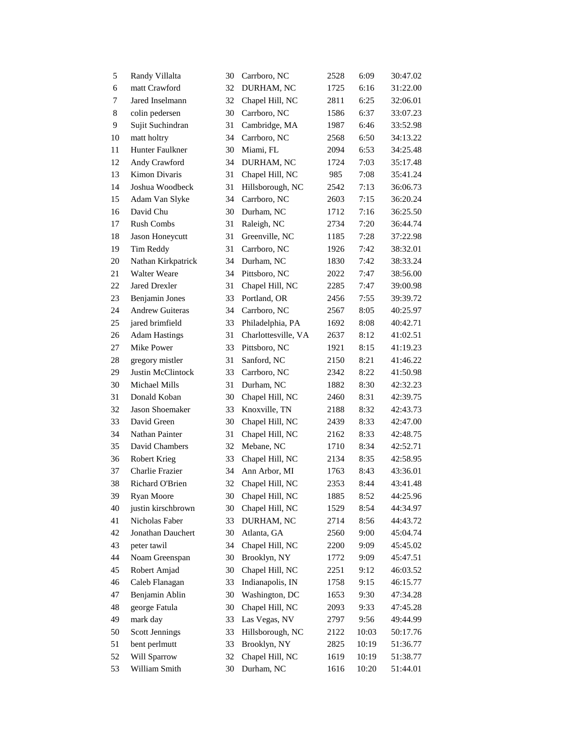| 5  | Randy Villalta         | 30 | Carrboro, NC        | 2528 | 6:09  | 30:47.02 |
|----|------------------------|----|---------------------|------|-------|----------|
| 6  | matt Crawford          | 32 | DURHAM, NC          | 1725 | 6:16  | 31:22.00 |
| 7  | Jared Inselmann        | 32 | Chapel Hill, NC     | 2811 | 6:25  | 32:06.01 |
| 8  | colin pedersen         | 30 | Carrboro, NC        | 1586 | 6:37  | 33:07.23 |
| 9  | Sujit Suchindran       | 31 | Cambridge, MA       | 1987 | 6:46  | 33:52.98 |
| 10 | matt holtry            | 34 | Carrboro, NC        | 2568 | 6:50  | 34:13.22 |
| 11 | Hunter Faulkner        | 30 | Miami, FL           | 2094 | 6:53  | 34:25.48 |
| 12 | Andy Crawford          | 34 | DURHAM, NC          | 1724 | 7:03  | 35:17.48 |
| 13 | Kimon Divaris          | 31 | Chapel Hill, NC     | 985  | 7:08  | 35:41.24 |
| 14 | Joshua Woodbeck        | 31 | Hillsborough, NC    | 2542 | 7:13  | 36:06.73 |
| 15 | Adam Van Slyke         | 34 | Carrboro, NC        | 2603 | 7:15  | 36:20.24 |
| 16 | David Chu              | 30 | Durham, NC          | 1712 | 7:16  | 36:25.50 |
| 17 | <b>Rush Combs</b>      | 31 | Raleigh, NC         | 2734 | 7:20  | 36:44.74 |
| 18 | Jason Honeycutt        | 31 | Greenville, NC      | 1185 | 7:28  | 37:22.98 |
| 19 | Tim Reddy              | 31 | Carrboro, NC        | 1926 | 7:42  | 38:32.01 |
| 20 | Nathan Kirkpatrick     | 34 | Durham, NC          | 1830 | 7:42  | 38:33.24 |
| 21 | <b>Walter Weare</b>    | 34 | Pittsboro, NC       | 2022 | 7:47  | 38:56.00 |
| 22 | <b>Jared Drexler</b>   | 31 | Chapel Hill, NC     | 2285 | 7:47  | 39:00.98 |
| 23 | Benjamin Jones         | 33 | Portland, OR        | 2456 | 7:55  | 39:39.72 |
| 24 | <b>Andrew Guiteras</b> | 34 | Carrboro, NC        | 2567 | 8:05  | 40:25.97 |
| 25 | jared brimfield        | 33 | Philadelphia, PA    | 1692 | 8:08  | 40:42.71 |
| 26 | <b>Adam Hastings</b>   | 31 | Charlottesville, VA | 2637 | 8:12  | 41:02.51 |
| 27 | Mike Power             | 33 | Pittsboro, NC       | 1921 | 8:15  | 41:19.23 |
| 28 | gregory mistler        | 31 | Sanford, NC         | 2150 | 8:21  | 41:46.22 |
| 29 | Justin McClintock      | 33 | Carrboro, NC        | 2342 | 8:22  | 41:50.98 |
| 30 | Michael Mills          | 31 | Durham, NC          | 1882 | 8:30  | 42:32.23 |
| 31 | Donald Koban           | 30 | Chapel Hill, NC     | 2460 | 8:31  | 42:39.75 |
| 32 | Jason Shoemaker        | 33 | Knoxville, TN       | 2188 | 8:32  | 42:43.73 |
| 33 | David Green            | 30 | Chapel Hill, NC     | 2439 | 8:33  | 42:47.00 |
| 34 | Nathan Painter         | 31 | Chapel Hill, NC     | 2162 | 8:33  | 42:48.75 |
| 35 | David Chambers         | 32 | Mebane, NC          | 1710 | 8:34  | 42:52.71 |
| 36 | Robert Krieg           | 33 | Chapel Hill, NC     | 2134 | 8:35  | 42:58.95 |
| 37 | <b>Charlie Frazier</b> | 34 | Ann Arbor, MI       | 1763 | 8:43  | 43:36.01 |
| 38 | Richard O'Brien        | 32 | Chapel Hill, NC     | 2353 | 8:44  | 43:41.48 |
| 39 | Ryan Moore             | 30 | Chapel Hill, NC     | 1885 | 8:52  | 44:25.96 |
| 40 | justin kirschbrown     | 30 | Chapel Hill, NC     | 1529 | 8:54  | 44:34.97 |
| 41 | Nicholas Faber         | 33 | DURHAM, NC          | 2714 | 8:56  | 44:43.72 |
| 42 | Jonathan Dauchert      | 30 | Atlanta, GA         | 2560 | 9:00  | 45:04.74 |
| 43 | peter tawil            | 34 | Chapel Hill, NC     | 2200 | 9:09  | 45:45.02 |
| 44 | Noam Greenspan         | 30 | Brooklyn, NY        | 1772 | 9:09  | 45:47.51 |
| 45 | Robert Amjad           | 30 | Chapel Hill, NC     | 2251 | 9:12  | 46:03.52 |
| 46 | Caleb Flanagan         | 33 | Indianapolis, IN    | 1758 | 9:15  | 46:15.77 |
| 47 | Benjamin Ablin         | 30 | Washington, DC      | 1653 | 9:30  | 47:34.28 |
| 48 | george Fatula          | 30 | Chapel Hill, NC     | 2093 | 9:33  | 47:45.28 |
| 49 | mark day               | 33 | Las Vegas, NV       | 2797 | 9:56  | 49:44.99 |
| 50 | <b>Scott Jennings</b>  | 33 | Hillsborough, NC    | 2122 | 10:03 | 50:17.76 |
| 51 | bent perlmutt          | 33 | Brooklyn, NY        | 2825 | 10:19 | 51:36.77 |
| 52 | Will Sparrow           | 32 | Chapel Hill, NC     | 1619 | 10:19 | 51:38.77 |
| 53 | William Smith          | 30 | Durham, NC          | 1616 | 10:20 | 51:44.01 |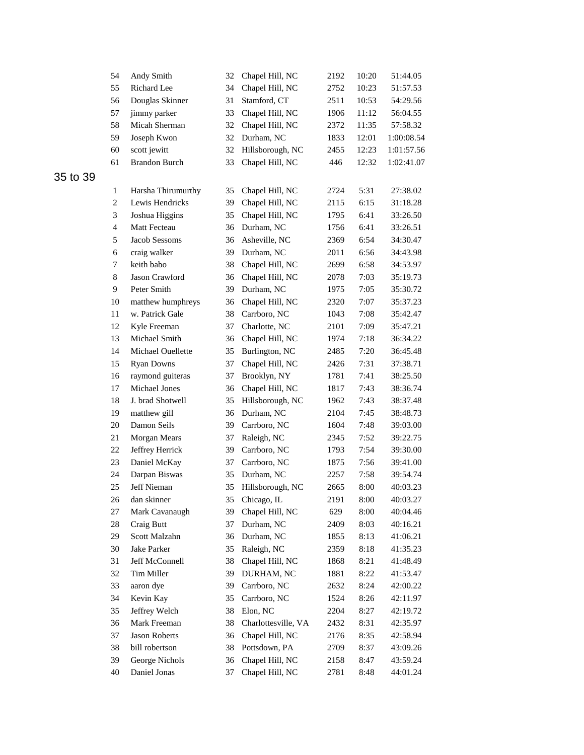|          | 54             | Andy Smith           | 32 | Chapel Hill, NC     | 2192 | 10:20 | 51:44.05   |
|----------|----------------|----------------------|----|---------------------|------|-------|------------|
|          | 55             | Richard Lee          | 34 | Chapel Hill, NC     | 2752 | 10:23 | 51:57.53   |
|          | 56             | Douglas Skinner      | 31 | Stamford, CT        | 2511 | 10:53 | 54:29.56   |
|          | 57             | jimmy parker         | 33 | Chapel Hill, NC     | 1906 | 11:12 | 56:04.55   |
|          | 58             | Micah Sherman        | 32 | Chapel Hill, NC     | 2372 | 11:35 | 57:58.32   |
|          | 59             | Joseph Kwon          | 32 | Durham, NC          | 1833 | 12:01 | 1:00:08.54 |
|          | 60             | scott jewitt         | 32 | Hillsborough, NC    | 2455 | 12:23 | 1:01:57.56 |
|          | 61             | <b>Brandon Burch</b> | 33 | Chapel Hill, NC     | 446  | 12:32 | 1:02:41.07 |
| 35 to 39 |                |                      |    |                     |      |       |            |
|          | $\mathbf{1}$   | Harsha Thirumurthy   | 35 | Chapel Hill, NC     | 2724 | 5:31  | 27:38.02   |
|          | $\overline{c}$ | Lewis Hendricks      | 39 | Chapel Hill, NC     | 2115 | 6:15  | 31:18.28   |
|          | 3              | Joshua Higgins       | 35 | Chapel Hill, NC     | 1795 | 6:41  | 33:26.50   |
|          | $\overline{4}$ | Matt Fecteau         | 36 | Durham, NC          | 1756 | 6:41  | 33:26.51   |
|          | 5              | Jacob Sessoms        | 36 | Asheville, NC       | 2369 | 6:54  | 34:30.47   |
|          | 6              | craig walker         | 39 | Durham, NC          | 2011 | 6:56  | 34:43.98   |
|          | 7              | keith babo           | 38 | Chapel Hill, NC     | 2699 | 6:58  | 34:53.97   |
|          | $\,8\,$        | Jason Crawford       | 36 | Chapel Hill, NC     | 2078 | 7:03  | 35:19.73   |
|          | 9              | Peter Smith          | 39 | Durham, NC          | 1975 | 7:05  | 35:30.72   |
|          | 10             | matthew humphreys    | 36 | Chapel Hill, NC     | 2320 | 7:07  | 35:37.23   |
|          | 11             | w. Patrick Gale      | 38 | Carrboro, NC        | 1043 | 7:08  | 35:42.47   |
|          | 12             | Kyle Freeman         | 37 | Charlotte, NC       | 2101 | 7:09  | 35:47.21   |
|          | 13             | Michael Smith        | 36 | Chapel Hill, NC     | 1974 | 7:18  | 36:34.22   |
|          | 14             | Michael Ouellette    | 35 | Burlington, NC      | 2485 | 7:20  | 36:45.48   |
|          | 15             | <b>Ryan Downs</b>    | 37 | Chapel Hill, NC     | 2426 | 7:31  | 37:38.71   |
|          | 16             | raymond guiteras     | 37 | Brooklyn, NY        | 1781 | 7:41  | 38:25.50   |
|          | 17             | Michael Jones        | 36 | Chapel Hill, NC     | 1817 | 7:43  | 38:36.74   |
|          | 18             | J. brad Shotwell     | 35 | Hillsborough, NC    | 1962 | 7:43  | 38:37.48   |
|          | 19             | matthew gill         | 36 | Durham, NC          | 2104 | 7:45  | 38:48.73   |
|          | 20             | Damon Seils          | 39 | Carrboro, NC        | 1604 | 7:48  | 39:03.00   |
|          | 21             | Morgan Mears         | 37 | Raleigh, NC         | 2345 | 7:52  | 39:22.75   |
|          | 22             | Jeffrey Herrick      | 39 | Carrboro, NC        | 1793 | 7:54  | 39:30.00   |
|          | 23             | Daniel McKay         | 37 | Carrboro, NC        | 1875 | 7:56  | 39:41.00   |
|          | 24             | Darpan Biswas        | 35 | Durham, NC          | 2257 | 7:58  | 39:54.74   |
|          | 25             | Jeff Nieman          | 35 | Hillsborough, NC    | 2665 | 8:00  | 40:03.23   |
|          | 26             | dan skinner          | 35 | Chicago, IL         | 2191 | 8:00  | 40:03.27   |
|          | 27             | Mark Cavanaugh       | 39 | Chapel Hill, NC     | 629  | 8:00  | 40:04.46   |
|          | $28\,$         | Craig Butt           | 37 | Durham, NC          | 2409 | 8:03  | 40:16.21   |
|          | 29             | Scott Malzahn        | 36 | Durham, NC          | 1855 | 8:13  | 41:06.21   |
|          | 30             | Jake Parker          | 35 | Raleigh, NC         | 2359 | 8:18  | 41:35.23   |
|          | 31             | Jeff McConnell       | 38 | Chapel Hill, NC     | 1868 | 8:21  | 41:48.49   |
|          | 32             | Tim Miller           | 39 | DURHAM, NC          | 1881 | 8:22  | 41:53.47   |
|          | 33             | aaron dye            | 39 | Carrboro, NC        | 2632 | 8:24  | 42:00.22   |
|          | 34             | Kevin Kay            | 35 | Carrboro, NC        | 1524 | 8:26  | 42:11.97   |
|          | 35             | Jeffrey Welch        | 38 | Elon, NC            | 2204 | 8:27  | 42:19.72   |
|          | 36             | Mark Freeman         | 38 | Charlottesville, VA | 2432 | 8:31  | 42:35.97   |
|          | 37             | Jason Roberts        | 36 | Chapel Hill, NC     | 2176 | 8:35  | 42:58.94   |
|          | 38             | bill robertson       | 38 | Pottsdown, PA       | 2709 | 8:37  | 43:09.26   |
|          | 39             | George Nichols       | 36 | Chapel Hill, NC     | 2158 | 8:47  | 43:59.24   |
|          | 40             | Daniel Jonas         | 37 | Chapel Hill, NC     | 2781 | 8:48  | 44:01.24   |
|          |                |                      |    |                     |      |       |            |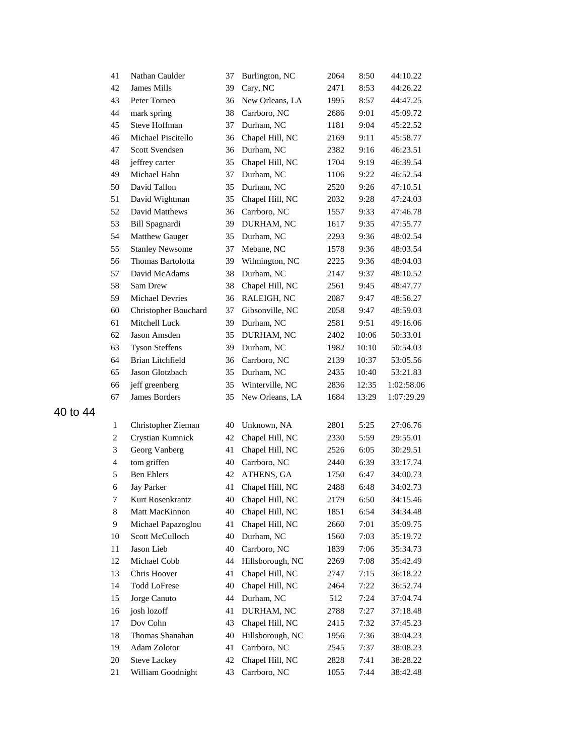| 41             | Nathan Caulder         | 37 | Burlington, NC     | 2064 | 8:50  | 44:10.22   |
|----------------|------------------------|----|--------------------|------|-------|------------|
| 42             | James Mills            | 39 | Cary, NC           | 2471 | 8:53  | 44:26.22   |
| 43             | Peter Torneo           | 36 | New Orleans, LA    | 1995 | 8:57  | 44:47.25   |
| 44             | mark spring            | 38 | Carrboro, NC       | 2686 | 9:01  | 45:09.72   |
| 45             | Steve Hoffman          | 37 | Durham, NC         | 1181 | 9:04  | 45:22.52   |
| 46             | Michael Piscitello     | 36 | Chapel Hill, NC    | 2169 | 9:11  | 45:58.77   |
| 47             | Scott Svendsen         | 36 | Durham, NC         | 2382 | 9:16  | 46:23.51   |
| 48             | jeffrey carter         | 35 | Chapel Hill, NC    | 1704 | 9:19  | 46:39.54   |
| 49             | Michael Hahn           | 37 | Durham, NC         | 1106 | 9:22  | 46:52.54   |
| 50             | David Tallon           | 35 | Durham, NC         | 2520 | 9:26  | 47:10.51   |
| 51             | David Wightman         | 35 | Chapel Hill, NC    | 2032 | 9:28  | 47:24.03   |
| 52             | David Matthews         | 36 | Carrboro, NC       | 1557 | 9:33  | 47:46.78   |
| 53             | Bill Spagnardi         | 39 | DURHAM, NC         | 1617 | 9:35  | 47:55.77   |
| 54             | Matthew Gauger         | 35 | Durham, NC         | 2293 | 9:36  | 48:02.54   |
| 55             | <b>Stanley Newsome</b> | 37 | Mebane, NC         | 1578 | 9:36  | 48:03.54   |
| 56             | Thomas Bartolotta      | 39 | Wilmington, NC     | 2225 | 9:36  | 48:04.03   |
| 57             | David McAdams          | 38 | Durham, NC         | 2147 | 9:37  | 48:10.52   |
| 58             | Sam Drew               | 38 | Chapel Hill, NC    | 2561 | 9:45  | 48:47.77   |
| 59             | <b>Michael Devries</b> | 36 | RALEIGH, NC        | 2087 | 9:47  | 48:56.27   |
| 60             | Christopher Bouchard   | 37 | Gibsonville, NC    | 2058 | 9:47  | 48:59.03   |
| 61             | Mitchell Luck          | 39 | Durham, NC         | 2581 | 9:51  | 49:16.06   |
| 62             | Jason Amsden           | 35 | DURHAM, NC         | 2402 | 10:06 | 50:33.01   |
| 63             | <b>Tyson Steffens</b>  | 39 | Durham, NC         | 1982 | 10:10 | 50:54.03   |
| 64             | Brian Litchfield       | 36 | Carrboro, NC       | 2139 | 10:37 | 53:05.56   |
| 65             | Jason Glotzbach        | 35 | Durham, NC         | 2435 | 10:40 | 53:21.83   |
| 66             | jeff greenberg         | 35 | Winterville, NC    | 2836 | 12:35 | 1:02:58.06 |
| 67             | James Borders          | 35 | New Orleans, LA    | 1684 | 13:29 | 1:07:29.29 |
| $\mathbf{1}$   | Christopher Zieman     | 40 | Unknown, NA        | 2801 | 5:25  | 27:06.76   |
| 2              | Crystian Kumnick       | 42 | Chapel Hill, NC    | 2330 | 5:59  | 29:55.01   |
| 3              | Georg Vanberg          | 41 | Chapel Hill, NC    | 2526 | 6:05  | 30:29.51   |
| $\overline{4}$ | tom griffen            | 40 | Carrboro, NC       | 2440 | 6:39  | 33:17.74   |
| 5              | <b>Ben Ehlers</b>      | 42 | ATHENS, GA         | 1750 | 6:47  | 34:00.73   |
| 6              | <b>Jay Parker</b>      | 41 | Chapel Hill, NC    | 2488 | 6:48  | 34:02.73   |
| 7              | Kurt Rosenkrantz       |    | 40 Chapel Hill, NC | 2179 | 6:50  | 34:15.46   |
| 8              | Matt MacKinnon         | 40 | Chapel Hill, NC    | 1851 | 6:54  | 34:34.48   |
| 9              | Michael Papazoglou     | 41 | Chapel Hill, NC    | 2660 | 7:01  | 35:09.75   |
| 10             | Scott McCulloch        | 40 | Durham, NC         | 1560 | 7:03  | 35:19.72   |
| 11             | Jason Lieb             | 40 | Carrboro, NC       | 1839 | 7:06  | 35:34.73   |
| 12             | Michael Cobb           | 44 | Hillsborough, NC   | 2269 | 7:08  | 35:42.49   |
| 13             | Chris Hoover           | 41 | Chapel Hill, NC    | 2747 | 7:15  | 36:18.22   |
| 14             | <b>Todd LoFrese</b>    | 40 | Chapel Hill, NC    | 2464 | 7:22  | 36:52.74   |
| 15             | Jorge Canuto           | 44 | Durham, NC         | 512  | 7:24  | 37:04.74   |
| 16             | josh lozoff            | 41 | DURHAM, NC         | 2788 | 7:27  | 37:18.48   |
| 17             | Dov Cohn               | 43 | Chapel Hill, NC    | 2415 | 7:32  | 37:45.23   |
| 18             | Thomas Shanahan        | 40 | Hillsborough, NC   | 1956 | 7:36  | 38:04.23   |
| 19             | Adam Zolotor           | 41 | Carrboro, NC       | 2545 | 7:37  | 38:08.23   |
| 20             | <b>Steve Lackey</b>    | 42 | Chapel Hill, NC    | 2828 | 7:41  | 38:28.22   |
| 21             | William Goodnight      | 43 | Carrboro, NC       | 1055 | 7:44  | 38:42.48   |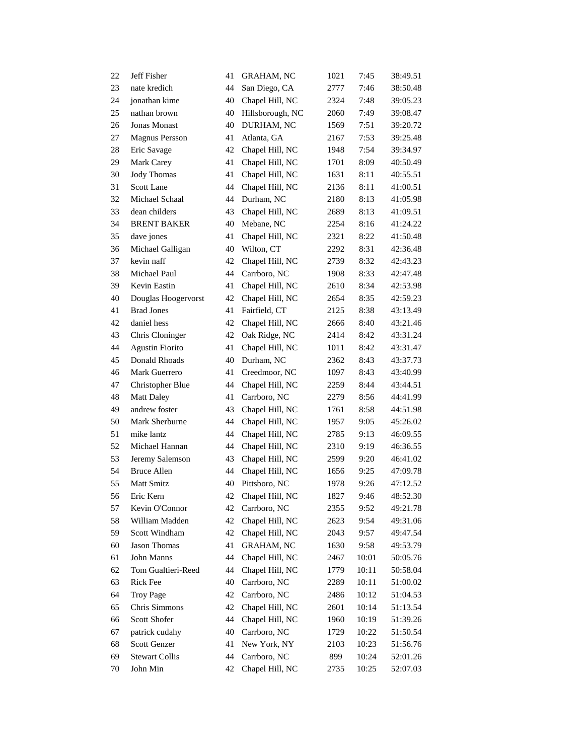| 22 | Jeff Fisher             | 41 | <b>GRAHAM, NC</b> | 1021 | 7:45  | 38:49.51 |
|----|-------------------------|----|-------------------|------|-------|----------|
| 23 | nate kredich            | 44 | San Diego, CA     | 2777 | 7:46  | 38:50.48 |
| 24 | jonathan kime           | 40 | Chapel Hill, NC   | 2324 | 7:48  | 39:05.23 |
| 25 | nathan brown            | 40 | Hillsborough, NC  | 2060 | 7:49  | 39:08.47 |
| 26 | Jonas Monast            | 40 | DURHAM, NC        | 1569 | 7:51  | 39:20.72 |
| 27 | <b>Magnus Persson</b>   | 41 | Atlanta, GA       | 2167 | 7:53  | 39:25.48 |
| 28 | Eric Savage             | 42 | Chapel Hill, NC   | 1948 | 7:54  | 39:34.97 |
| 29 | Mark Carey              | 41 | Chapel Hill, NC   | 1701 | 8:09  | 40:50.49 |
| 30 | <b>Jody Thomas</b>      | 41 | Chapel Hill, NC   | 1631 | 8:11  | 40:55.51 |
| 31 | Scott Lane              | 44 | Chapel Hill, NC   | 2136 | 8:11  | 41:00.51 |
| 32 | Michael Schaal          | 44 | Durham, NC        | 2180 | 8:13  | 41:05.98 |
| 33 | dean childers           | 43 | Chapel Hill, NC   | 2689 | 8:13  | 41:09.51 |
| 34 | <b>BRENT BAKER</b>      | 40 | Mebane, NC        | 2254 | 8:16  | 41:24.22 |
| 35 | dave jones              | 41 | Chapel Hill, NC   | 2321 | 8:22  | 41:50.48 |
| 36 | Michael Galligan        | 40 | Wilton, CT        | 2292 | 8:31  | 42:36.48 |
| 37 | kevin naff              | 42 | Chapel Hill, NC   | 2739 | 8:32  | 42:43.23 |
| 38 | Michael Paul            | 44 | Carrboro, NC      | 1908 | 8:33  | 42:47.48 |
| 39 | Kevin Eastin            | 41 | Chapel Hill, NC   | 2610 | 8:34  | 42:53.98 |
| 40 | Douglas Hoogervorst     | 42 | Chapel Hill, NC   | 2654 | 8:35  | 42:59.23 |
| 41 | <b>Brad Jones</b>       | 41 | Fairfield, CT     | 2125 | 8:38  | 43:13.49 |
| 42 | daniel hess             | 42 | Chapel Hill, NC   | 2666 | 8:40  | 43:21.46 |
| 43 | Chris Cloninger         | 42 | Oak Ridge, NC     | 2414 | 8:42  | 43:31.24 |
| 44 | <b>Agustin Fiorito</b>  | 41 | Chapel Hill, NC   | 1011 | 8:42  | 43:31.47 |
| 45 | Donald Rhoads           | 40 | Durham, NC        | 2362 | 8:43  | 43:37.73 |
| 46 | Mark Guerrero           | 41 | Creedmoor, NC     | 1097 | 8:43  | 43:40.99 |
| 47 | <b>Christopher Blue</b> | 44 | Chapel Hill, NC   | 2259 | 8:44  | 43:44.51 |
| 48 | <b>Matt Daley</b>       | 41 | Carrboro, NC      | 2279 | 8:56  | 44:41.99 |
| 49 | andrew foster           | 43 | Chapel Hill, NC   | 1761 | 8:58  | 44:51.98 |
| 50 | Mark Sherburne          | 44 | Chapel Hill, NC   | 1957 | 9:05  | 45:26.02 |
| 51 | mike lantz              | 44 | Chapel Hill, NC   | 2785 | 9:13  | 46:09.55 |
| 52 | Michael Hannan          | 44 | Chapel Hill, NC   | 2310 | 9:19  | 46:36.55 |
| 53 | Jeremy Salemson         | 43 | Chapel Hill, NC   | 2599 | 9:20  | 46:41.02 |
| 54 | <b>Bruce Allen</b>      | 44 | Chapel Hill, NC   | 1656 | 9:25  | 47:09.78 |
| 55 | Matt Smitz              | 40 | Pittsboro, NC     | 1978 | 9:26  | 47:12.52 |
| 56 | Eric Kern               | 42 | Chapel Hill, NC   | 1827 | 9:46  | 48:52.30 |
| 57 | Kevin O'Connor          | 42 | Carrboro, NC      | 2355 | 9:52  | 49:21.78 |
| 58 | William Madden          | 42 | Chapel Hill, NC   | 2623 | 9:54  | 49:31.06 |
| 59 | Scott Windham           | 42 | Chapel Hill, NC   | 2043 | 9:57  | 49:47.54 |
| 60 | <b>Jason Thomas</b>     | 41 | <b>GRAHAM, NC</b> | 1630 | 9:58  | 49:53.79 |
| 61 | John Manns              | 44 | Chapel Hill, NC   | 2467 | 10:01 | 50:05.76 |
| 62 | Tom Gualtieri-Reed      | 44 | Chapel Hill, NC   | 1779 | 10:11 | 50:58.04 |
| 63 | Rick Fee                | 40 | Carrboro, NC      | 2289 | 10:11 | 51:00.02 |
| 64 | <b>Troy Page</b>        | 42 | Carrboro, NC      | 2486 | 10:12 | 51:04.53 |
| 65 | Chris Simmons           | 42 | Chapel Hill, NC   | 2601 | 10:14 | 51:13.54 |
| 66 | Scott Shofer            | 44 | Chapel Hill, NC   | 1960 | 10:19 | 51:39.26 |
| 67 | patrick cudahy          | 40 | Carrboro, NC      | 1729 | 10:22 | 51:50.54 |
| 68 | Scott Genzer            | 41 | New York, NY      | 2103 | 10:23 | 51:56.76 |
| 69 | <b>Stewart Collis</b>   | 44 | Carrboro, NC      | 899  | 10:24 | 52:01.26 |
| 70 | John Min                | 42 | Chapel Hill, NC   | 2735 | 10:25 | 52:07.03 |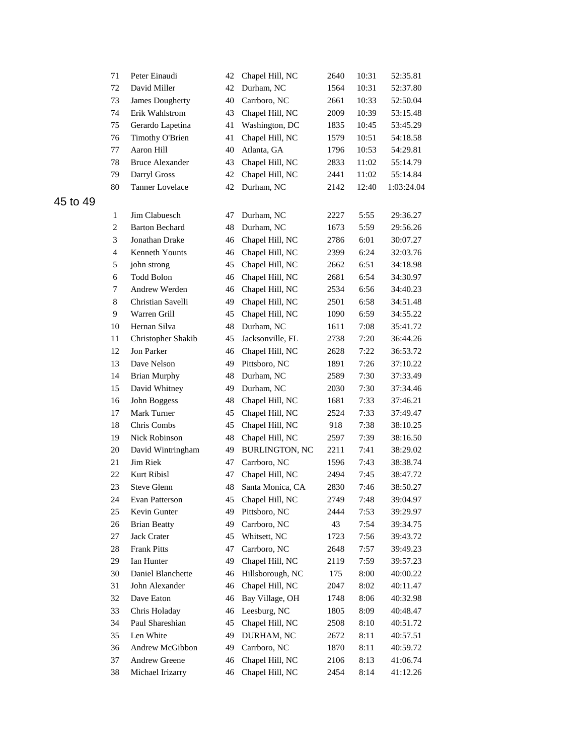| 71             | Peter Einaudi          | 42 | Chapel Hill, NC       | 2640 | 10:31 | 52:35.81   |
|----------------|------------------------|----|-----------------------|------|-------|------------|
| 72             | David Miller           | 42 | Durham, NC            | 1564 | 10:31 | 52:37.80   |
| 73             | <b>James Dougherty</b> | 40 | Carrboro, NC          | 2661 | 10:33 | 52:50.04   |
| 74             | Erik Wahlstrom         | 43 | Chapel Hill, NC       | 2009 | 10:39 | 53:15.48   |
| 75             | Gerardo Lapetina       | 41 | Washington, DC        | 1835 | 10:45 | 53:45.29   |
| 76             | Timothy O'Brien        | 41 | Chapel Hill, NC       | 1579 | 10:51 | 54:18.58   |
| 77             | Aaron Hill             | 40 | Atlanta, GA           | 1796 | 10:53 | 54:29.81   |
| 78             | <b>Bruce Alexander</b> | 43 | Chapel Hill, NC       | 2833 | 11:02 | 55:14.79   |
| 79             | Darryl Gross           | 42 | Chapel Hill, NC       | 2441 | 11:02 | 55:14.84   |
| 80             | <b>Tanner Lovelace</b> | 42 | Durham, NC            | 2142 | 12:40 | 1:03:24.04 |
| 1              | Jim Clabuesch          | 47 | Durham, NC            | 2227 | 5:55  | 29:36.27   |
| $\overline{c}$ | <b>Barton Bechard</b>  | 48 | Durham, NC            | 1673 | 5:59  | 29:56.26   |
| $\mathfrak{Z}$ | Jonathan Drake         | 46 | Chapel Hill, NC       | 2786 | 6:01  | 30:07.27   |
| $\overline{4}$ | Kenneth Younts         | 46 | Chapel Hill, NC       | 2399 | 6:24  | 32:03.76   |
| 5              | john strong            | 45 | Chapel Hill, NC       | 2662 | 6:51  | 34:18.98   |
| 6              | <b>Todd Bolon</b>      | 46 | Chapel Hill, NC       | 2681 | 6:54  | 34:30.97   |
| 7              | Andrew Werden          | 46 | Chapel Hill, NC       | 2534 | 6:56  | 34:40.23   |
| 8              | Christian Savelli      | 49 | Chapel Hill, NC       | 2501 | 6:58  | 34:51.48   |
| 9              | Warren Grill           | 45 | Chapel Hill, NC       | 1090 | 6:59  | 34:55.22   |
| 10             | Hernan Silva           | 48 | Durham, NC            | 1611 | 7:08  | 35:41.72   |
| 11             | Christopher Shakib     | 45 | Jacksonville, FL      | 2738 | 7:20  | 36:44.26   |
| 12             | Jon Parker             | 46 | Chapel Hill, NC       | 2628 | 7:22  | 36:53.72   |
| 13             | Dave Nelson            | 49 | Pittsboro, NC         | 1891 | 7:26  | 37:10.22   |
| 14             | <b>Brian Murphy</b>    | 48 | Durham, NC            | 2589 | 7:30  | 37:33.49   |
| 15             | David Whitney          | 49 | Durham, NC            | 2030 | 7:30  | 37:34.46   |
| 16             | John Boggess           | 48 | Chapel Hill, NC       | 1681 | 7:33  | 37:46.21   |
| 17             | Mark Turner            | 45 | Chapel Hill, NC       | 2524 | 7:33  | 37:49.47   |
| 18             | Chris Combs            | 45 | Chapel Hill, NC       | 918  | 7:38  | 38:10.25   |
| 19             | Nick Robinson          | 48 | Chapel Hill, NC       | 2597 | 7:39  | 38:16.50   |
| 20             | David Wintringham      | 49 | <b>BURLINGTON, NC</b> | 2211 | 7:41  | 38:29.02   |
| 21             | Jim Riek               | 47 | Carrboro, NC          | 1596 | 7:43  | 38:38.74   |
| 22             | Kurt Ribisl            | 47 | Chapel Hill, NC       | 2494 | 7:45  | 38:47.72   |
| 23             | Steve Glenn            | 48 | Santa Monica, CA      | 2830 | 7:46  | 38:50.27   |
| 24             | Evan Patterson         | 45 | Chapel Hill, NC       | 2749 | 7:48  | 39:04.97   |
| 25             | Kevin Gunter           | 49 | Pittsboro, NC         | 2444 | 7:53  | 39:29.97   |
| 26             | <b>Brian Beatty</b>    | 49 | Carrboro, NC          | 43   | 7:54  | 39:34.75   |
| 27             | Jack Crater            | 45 | Whitsett, NC          | 1723 | 7:56  | 39:43.72   |
| 28             | <b>Frank Pitts</b>     | 47 | Carrboro, NC          | 2648 | 7:57  | 39:49.23   |
| 29             | <b>Ian Hunter</b>      | 49 | Chapel Hill, NC       | 2119 | 7:59  | 39:57.23   |
| 30             | Daniel Blanchette      | 46 | Hillsborough, NC      | 175  | 8:00  | 40:00.22   |
| 31             | John Alexander         | 46 | Chapel Hill, NC       | 2047 | 8:02  | 40:11.47   |
| 32             | Dave Eaton             | 46 | Bay Village, OH       | 1748 | 8:06  | 40:32.98   |
| 33             | Chris Holaday          | 46 | Leesburg, NC          | 1805 | 8:09  | 40:48.47   |
| 34             | Paul Shareshian        | 45 | Chapel Hill, NC       | 2508 | 8:10  | 40:51.72   |
| 35             | Len White              | 49 | DURHAM, NC            | 2672 | 8:11  | 40:57.51   |
| 36             | Andrew McGibbon        | 49 | Carrboro, NC          | 1870 | 8:11  | 40:59.72   |
| 37             | <b>Andrew Greene</b>   | 46 | Chapel Hill, NC       | 2106 | 8:13  | 41:06.74   |
| 38             | Michael Irizarry       | 46 | Chapel Hill, NC       | 2454 | 8:14  | 41:12.26   |
|                |                        |    |                       |      |       |            |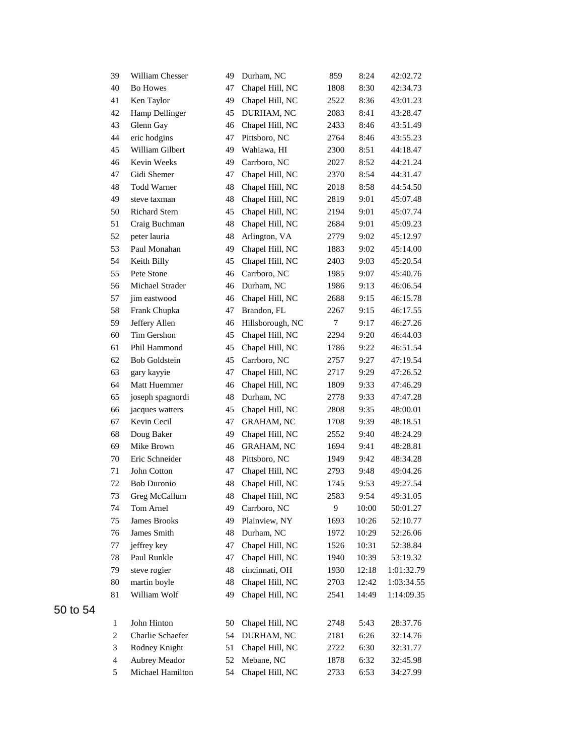| 39             | William Chesser      | 49 | Durham, NC        | 859  | 8:24  | 42:02.72   |
|----------------|----------------------|----|-------------------|------|-------|------------|
| 40             | <b>Bo Howes</b>      | 47 | Chapel Hill, NC   | 1808 | 8:30  | 42:34.73   |
| 41             | Ken Taylor           | 49 | Chapel Hill, NC   | 2522 | 8:36  | 43:01.23   |
| 42             | Hamp Dellinger       | 45 | DURHAM, NC        | 2083 | 8:41  | 43:28.47   |
| 43             | Glenn Gay            | 46 | Chapel Hill, NC   | 2433 | 8:46  | 43:51.49   |
| 44             | eric hodgins         | 47 | Pittsboro, NC     | 2764 | 8:46  | 43:55.23   |
| 45             | William Gilbert      | 49 | Wahiawa, HI       | 2300 | 8:51  | 44:18.47   |
| 46             | Kevin Weeks          | 49 | Carrboro, NC      | 2027 | 8:52  | 44:21.24   |
| 47             | Gidi Shemer          | 47 | Chapel Hill, NC   | 2370 | 8:54  | 44:31.47   |
| 48             | <b>Todd Warner</b>   | 48 | Chapel Hill, NC   | 2018 | 8:58  | 44:54.50   |
| 49             | steve taxman         | 48 | Chapel Hill, NC   | 2819 | 9:01  | 45:07.48   |
| 50             | <b>Richard Stern</b> | 45 | Chapel Hill, NC   | 2194 | 9:01  | 45:07.74   |
| 51             | Craig Buchman        | 48 | Chapel Hill, NC   | 2684 | 9:01  | 45:09.23   |
| 52             | peter lauria         | 48 | Arlington, VA     | 2779 | 9:02  | 45:12.97   |
| 53             | Paul Monahan         | 49 | Chapel Hill, NC   | 1883 | 9:02  | 45:14.00   |
| 54             | Keith Billy          | 45 | Chapel Hill, NC   | 2403 | 9:03  | 45:20.54   |
| 55             | Pete Stone           | 46 | Carrboro, NC      | 1985 | 9:07  | 45:40.76   |
| 56             | Michael Strader      | 46 | Durham, NC        | 1986 | 9:13  | 46:06.54   |
| 57             | jim eastwood         | 46 | Chapel Hill, NC   | 2688 | 9:15  | 46:15.78   |
| 58             | Frank Chupka         | 47 | Brandon, FL       | 2267 | 9:15  | 46:17.55   |
| 59             | Jeffery Allen        | 46 | Hillsborough, NC  | 7    | 9:17  | 46:27.26   |
| 60             | Tim Gershon          | 45 | Chapel Hill, NC   | 2294 | 9:20  | 46:44.03   |
| 61             | Phil Hammond         | 45 | Chapel Hill, NC   | 1786 | 9:22  | 46:51.54   |
| 62             | <b>Bob Goldstein</b> | 45 | Carrboro, NC      | 2757 | 9:27  | 47:19.54   |
| 63             | gary kayyie          | 47 | Chapel Hill, NC   | 2717 | 9:29  | 47:26.52   |
| 64             | Matt Huemmer         | 46 | Chapel Hill, NC   | 1809 | 9:33  | 47:46.29   |
| 65             | joseph spagnordi     | 48 | Durham, NC        | 2778 | 9:33  | 47:47.28   |
| 66             | jacques watters      | 45 | Chapel Hill, NC   | 2808 | 9:35  | 48:00.01   |
| 67             | Kevin Cecil          | 47 | <b>GRAHAM, NC</b> | 1708 | 9:39  | 48:18.51   |
| 68             | Doug Baker           | 49 | Chapel Hill, NC   | 2552 | 9:40  | 48:24.29   |
| 69             | Mike Brown           | 46 | <b>GRAHAM, NC</b> | 1694 | 9:41  | 48:28.81   |
| 70             | Eric Schneider       | 48 | Pittsboro, NC     | 1949 | 9:42  | 48:34.28   |
| 71             | John Cotton          | 47 | Chapel Hill, NC   | 2793 | 9:48  | 49:04.26   |
| 72             | <b>Bob Duronio</b>   | 48 | Chapel Hill, NC   | 1745 | 9:53  | 49:27.54   |
| 73             | Greg McCallum        | 48 | Chapel Hill, NC   | 2583 | 9:54  | 49:31.05   |
| 74             | Tom Arnel            | 49 | Carrboro, NC      | 9    | 10:00 | 50:01.27   |
| 75             | <b>James Brooks</b>  | 49 | Plainview, NY     | 1693 | 10:26 | 52:10.77   |
| 76             | James Smith          | 48 | Durham, NC        | 1972 | 10:29 | 52:26.06   |
| $77 \,$        | jeffrey key          | 47 | Chapel Hill, NC   | 1526 | 10:31 | 52:38.84   |
| 78             | Paul Runkle          | 47 | Chapel Hill, NC   | 1940 | 10:39 | 53:19.32   |
| 79             | steve rogier         | 48 | cincinnati, OH    | 1930 | 12:18 | 1:01:32.79 |
| $80\,$         | martin boyle         | 48 | Chapel Hill, NC   | 2703 | 12:42 | 1:03:34.55 |
| 81             | William Wolf         | 49 | Chapel Hill, NC   | 2541 | 14:49 | 1:14:09.35 |
|                |                      |    |                   |      |       |            |
| $\mathbf{1}$   | John Hinton          | 50 | Chapel Hill, NC   | 2748 | 5:43  | 28:37.76   |
| 2              | Charlie Schaefer     | 54 | DURHAM, NC        | 2181 | 6:26  | 32:14.76   |
| 3              | Rodney Knight        | 51 | Chapel Hill, NC   | 2722 | 6:30  | 32:31.77   |
| $\overline{4}$ | Aubrey Meador        | 52 | Mebane, NC        | 1878 | 6:32  | 32:45.98   |
| 5              | Michael Hamilton     | 54 | Chapel Hill, NC   | 2733 | 6:53  | 34:27.99   |
|                |                      |    |                   |      |       |            |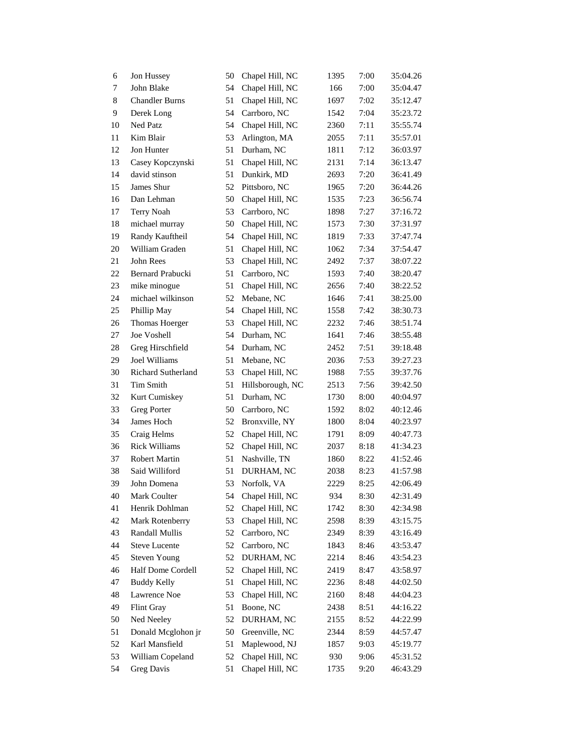| 6  | Jon Hussey            | 50 | Chapel Hill, NC  | 1395 | 7:00 | 35:04.26 |
|----|-----------------------|----|------------------|------|------|----------|
| 7  | John Blake            | 54 | Chapel Hill, NC  | 166  | 7:00 | 35:04.47 |
| 8  | <b>Chandler Burns</b> | 51 | Chapel Hill, NC  | 1697 | 7:02 | 35:12.47 |
| 9  | Derek Long            | 54 | Carrboro, NC     | 1542 | 7:04 | 35:23.72 |
| 10 | Ned Patz              | 54 | Chapel Hill, NC  | 2360 | 7:11 | 35:55.74 |
| 11 | Kim Blair             | 53 | Arlington, MA    | 2055 | 7:11 | 35:57.01 |
| 12 | Jon Hunter            | 51 | Durham, NC       | 1811 | 7:12 | 36:03.97 |
| 13 | Casey Kopczynski      | 51 | Chapel Hill, NC  | 2131 | 7:14 | 36:13.47 |
| 14 | david stinson         | 51 | Dunkirk, MD      | 2693 | 7:20 | 36:41.49 |
| 15 | James Shur            | 52 | Pittsboro, NC    | 1965 | 7:20 | 36:44.26 |
| 16 | Dan Lehman            | 50 | Chapel Hill, NC  | 1535 | 7:23 | 36:56.74 |
| 17 | Terry Noah            | 53 | Carrboro, NC     | 1898 | 7:27 | 37:16.72 |
| 18 | michael murray        | 50 | Chapel Hill, NC  | 1573 | 7:30 | 37:31.97 |
| 19 | Randy Kauftheil       | 54 | Chapel Hill, NC  | 1819 | 7:33 | 37:47.74 |
| 20 | William Graden        | 51 | Chapel Hill, NC  | 1062 | 7:34 | 37:54.47 |
| 21 | John Rees             | 53 | Chapel Hill, NC  | 2492 | 7:37 | 38:07.22 |
| 22 | Bernard Prabucki      | 51 | Carrboro, NC     | 1593 | 7:40 | 38:20.47 |
| 23 | mike minogue          | 51 | Chapel Hill, NC  | 2656 | 7:40 | 38:22.52 |
| 24 | michael wilkinson     | 52 | Mebane, NC       | 1646 | 7:41 | 38:25.00 |
| 25 | Phillip May           | 54 | Chapel Hill, NC  | 1558 | 7:42 | 38:30.73 |
| 26 | Thomas Hoerger        | 53 | Chapel Hill, NC  | 2232 | 7:46 | 38:51.74 |
| 27 | Joe Voshell           | 54 | Durham, NC       | 1641 | 7:46 | 38:55.48 |
| 28 | Greg Hirschfield      | 54 | Durham, NC       | 2452 | 7:51 | 39:18.48 |
| 29 | Joel Williams         | 51 | Mebane, NC       | 2036 | 7:53 | 39:27.23 |
| 30 | Richard Sutherland    | 53 | Chapel Hill, NC  | 1988 | 7:55 | 39:37.76 |
| 31 | Tim Smith             | 51 | Hillsborough, NC | 2513 | 7:56 | 39:42.50 |
| 32 | Kurt Cumiskey         | 51 | Durham, NC       | 1730 | 8:00 | 40:04.97 |
| 33 | Greg Porter           | 50 | Carrboro, NC     | 1592 | 8:02 | 40:12.46 |
| 34 | James Hoch            | 52 | Bronxville, NY   | 1800 | 8:04 | 40:23.97 |
| 35 | Craig Helms           | 52 | Chapel Hill, NC  | 1791 | 8:09 | 40:47.73 |
| 36 | <b>Rick Williams</b>  | 52 | Chapel Hill, NC  | 2037 | 8:18 | 41:34.23 |
| 37 | <b>Robert Martin</b>  | 51 | Nashville, TN    | 1860 | 8:22 | 41:52.46 |
| 38 | Said Williford        | 51 | DURHAM, NC       | 2038 | 8:23 | 41:57.98 |
| 39 | John Domena           | 53 | Norfolk, VA      | 2229 | 8:25 | 42:06.49 |
| 40 | Mark Coulter          | 54 | Chapel Hill, NC  | 934  | 8:30 | 42:31.49 |
| 41 | Henrik Dohlman        | 52 | Chapel Hill, NC  | 1742 | 8:30 | 42:34.98 |
| 42 | Mark Rotenberry       | 53 | Chapel Hill, NC  | 2598 | 8:39 | 43:15.75 |
| 43 | Randall Mullis        | 52 | Carrboro, NC     | 2349 | 8:39 | 43:16.49 |
| 44 | <b>Steve Lucente</b>  | 52 | Carrboro, NC     | 1843 | 8:46 | 43:53.47 |
| 45 | <b>Steven Young</b>   | 52 | DURHAM, NC       | 2214 | 8:46 | 43:54.23 |
| 46 | Half Dome Cordell     | 52 | Chapel Hill, NC  | 2419 | 8:47 | 43:58.97 |
| 47 | <b>Buddy Kelly</b>    | 51 | Chapel Hill, NC  | 2236 | 8:48 | 44:02.50 |
| 48 | Lawrence Noe          | 53 | Chapel Hill, NC  | 2160 | 8:48 | 44:04.23 |
| 49 | Flint Gray            | 51 | Boone, NC        | 2438 | 8:51 | 44:16.22 |
| 50 | Ned Neeley            | 52 | DURHAM, NC       | 2155 | 8:52 | 44:22.99 |
| 51 | Donald Mcglohon jr    | 50 | Greenville, NC   | 2344 | 8:59 | 44:57.47 |
| 52 | Karl Mansfield        | 51 | Maplewood, NJ    | 1857 | 9:03 | 45:19.77 |
| 53 | William Copeland      | 52 | Chapel Hill, NC  | 930  | 9:06 | 45:31.52 |
| 54 | Greg Davis            | 51 | Chapel Hill, NC  | 1735 | 9:20 | 46:43.29 |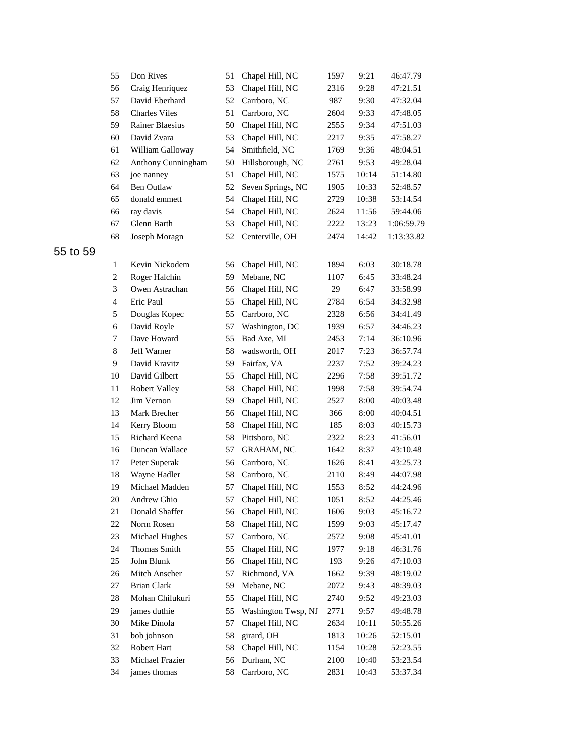| 55             | Don Rives            | 51 | Chapel Hill, NC     | 1597 | 9:21  | 46:47.79   |
|----------------|----------------------|----|---------------------|------|-------|------------|
| 56             | Craig Henriquez      | 53 | Chapel Hill, NC     | 2316 | 9:28  | 47:21.51   |
| 57             | David Eberhard       | 52 | Carrboro, NC        | 987  | 9:30  | 47:32.04   |
| 58             | <b>Charles Viles</b> | 51 | Carrboro, NC        | 2604 | 9:33  | 47:48.05   |
| 59             | Rainer Blaesius      | 50 | Chapel Hill, NC     | 2555 | 9:34  | 47:51.03   |
| 60             | David Zvara          | 53 | Chapel Hill, NC     | 2217 | 9:35  | 47:58.27   |
| 61             | William Galloway     | 54 | Smithfield, NC      | 1769 | 9:36  | 48:04.51   |
| 62             | Anthony Cunningham   | 50 | Hillsborough, NC    | 2761 | 9:53  | 49:28.04   |
| 63             | joe nanney           | 51 | Chapel Hill, NC     | 1575 | 10:14 | 51:14.80   |
| 64             | <b>Ben Outlaw</b>    | 52 | Seven Springs, NC   | 1905 | 10:33 | 52:48.57   |
| 65             | donald emmett        | 54 | Chapel Hill, NC     | 2729 | 10:38 | 53:14.54   |
| 66             | ray davis            | 54 | Chapel Hill, NC     | 2624 | 11:56 | 59:44.06   |
| 67             | Glenn Barth          | 53 | Chapel Hill, NC     | 2222 | 13:23 | 1:06:59.79 |
| 68             | Joseph Moragn        | 52 | Centerville, OH     | 2474 | 14:42 | 1:13:33.82 |
| 1              | Kevin Nickodem       | 56 | Chapel Hill, NC     | 1894 | 6:03  | 30:18.78   |
| $\overline{c}$ | Roger Halchin        | 59 | Mebane, NC          | 1107 | 6:45  | 33:48.24   |
| 3              | Owen Astrachan       | 56 | Chapel Hill, NC     | 29   | 6:47  | 33:58.99   |
| $\overline{4}$ | Eric Paul            | 55 | Chapel Hill, NC     | 2784 | 6:54  | 34:32.98   |
| 5              | Douglas Kopec        | 55 | Carrboro, NC        | 2328 | 6:56  | 34:41.49   |
| 6              | David Royle          | 57 | Washington, DC      | 1939 | 6:57  | 34:46.23   |
| 7              | Dave Howard          | 55 | Bad Axe, MI         | 2453 | 7:14  | 36:10.96   |
| 8              | <b>Jeff Warner</b>   | 58 | wadsworth, OH       | 2017 | 7:23  | 36:57.74   |
| 9              | David Kravitz        | 59 | Fairfax, VA         | 2237 | 7:52  | 39:24.23   |
| 10             | David Gilbert        | 55 | Chapel Hill, NC     | 2296 | 7:58  | 39:51.72   |
| 11             | Robert Valley        | 58 | Chapel Hill, NC     | 1998 | 7:58  | 39:54.74   |
| 12             | Jim Vernon           | 59 | Chapel Hill, NC     | 2527 | 8:00  | 40:03.48   |
| 13             | Mark Brecher         | 56 | Chapel Hill, NC     | 366  | 8:00  | 40:04.51   |
| 14             | Kerry Bloom          | 58 | Chapel Hill, NC     | 185  | 8:03  | 40:15.73   |
| 15             | Richard Keena        | 58 | Pittsboro, NC       | 2322 | 8:23  | 41:56.01   |
| 16             | Duncan Wallace       | 57 | <b>GRAHAM, NC</b>   | 1642 | 8:37  | 43:10.48   |
| 17             | Peter Superak        | 56 | Carrboro, NC        | 1626 | 8:41  | 43:25.73   |
| 18             | Wayne Hadler         | 58 | Carrboro, NC        | 2110 | 8:49  | 44:07.98   |
| 19             | Michael Madden       | 57 | Chapel Hill, NC     | 1553 | 8:52  | 44:24.96   |
| 20             | Andrew Ghio          | 57 | Chapel Hill, NC     | 1051 | 8:52  | 44:25.46   |
| 21             | Donald Shaffer       | 56 | Chapel Hill, NC     | 1606 | 9:03  | 45:16.72   |
| 22             | Norm Rosen           | 58 | Chapel Hill, NC     | 1599 | 9:03  | 45:17.47   |
| 23             | Michael Hughes       | 57 | Carrboro, NC        | 2572 | 9:08  | 45:41.01   |
| 24             | Thomas Smith         | 55 | Chapel Hill, NC     | 1977 | 9:18  | 46:31.76   |
| 25             | John Blunk           | 56 | Chapel Hill, NC     | 193  | 9:26  | 47:10.03   |
| 26             | Mitch Anscher        | 57 | Richmond, VA        | 1662 | 9:39  | 48:19.02   |
| 27             | <b>Brian Clark</b>   | 59 | Mebane, NC          | 2072 | 9:43  | 48:39.03   |
| $28\,$         | Mohan Chilukuri      | 55 | Chapel Hill, NC     | 2740 | 9:52  | 49:23.03   |
| 29             | james duthie         | 55 | Washington Twsp, NJ | 2771 | 9:57  | 49:48.78   |
| $30\,$         | Mike Dinola          | 57 | Chapel Hill, NC     | 2634 | 10:11 | 50:55.26   |
| 31             | bob johnson          | 58 | girard, OH          | 1813 | 10:26 | 52:15.01   |
| 32             | Robert Hart          | 58 | Chapel Hill, NC     | 1154 | 10:28 | 52:23.55   |
| 33             | Michael Frazier      | 56 | Durham, NC          | 2100 | 10:40 | 53:23.54   |
| 34             | james thomas         | 58 | Carrboro, NC        | 2831 | 10:43 | 53:37.34   |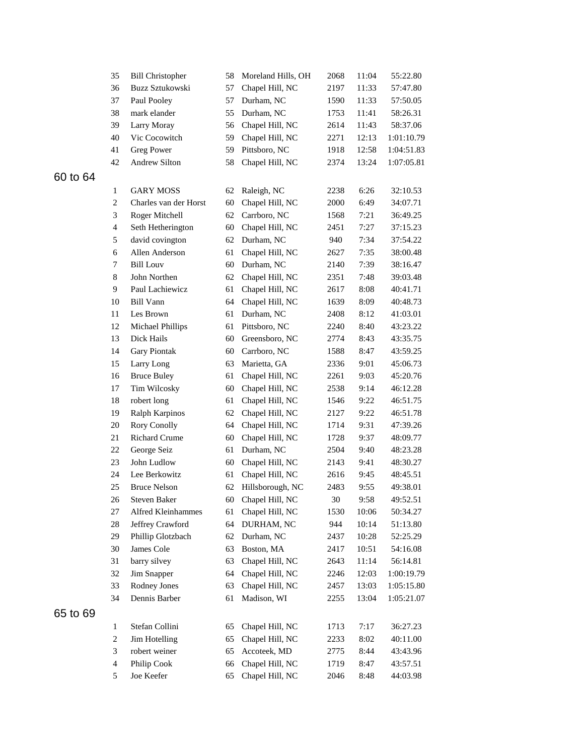|    | 35                       | <b>Bill Christopher</b> | 58 | Moreland Hills, OH | 2068   | 11:04 | 55:22.80   |
|----|--------------------------|-------------------------|----|--------------------|--------|-------|------------|
|    | 36                       | Buzz Sztukowski         | 57 | Chapel Hill, NC    | 2197   | 11:33 | 57:47.80   |
|    | 37                       | Paul Pooley             | 57 | Durham, NC         | 1590   | 11:33 | 57:50.05   |
|    | 38                       | mark elander            | 55 | Durham, NC         | 1753   | 11:41 | 58:26.31   |
|    | 39                       | Larry Moray             | 56 | Chapel Hill, NC    | 2614   | 11:43 | 58:37.06   |
|    | 40                       | Vic Cocowitch           | 59 | Chapel Hill, NC    | 2271   | 12:13 | 1:01:10.79 |
|    | 41                       | <b>Greg Power</b>       | 59 | Pittsboro, NC      | 1918   | 12:58 | 1:04:51.83 |
|    | 42                       | Andrew Silton           | 58 | Chapel Hill, NC    | 2374   | 13:24 | 1:07:05.81 |
| 64 |                          |                         |    |                    |        |       |            |
|    | $\mathbf{1}$             | <b>GARY MOSS</b>        | 62 | Raleigh, NC        | 2238   | 6:26  | 32:10.53   |
|    | $\overline{c}$           | Charles van der Horst   | 60 | Chapel Hill, NC    | 2000   | 6:49  | 34:07.71   |
|    | 3                        | Roger Mitchell          | 62 | Carrboro, NC       | 1568   | 7:21  | 36:49.25   |
|    | $\overline{\mathbf{4}}$  | Seth Hetherington       | 60 | Chapel Hill, NC    | 2451   | 7:27  | 37:15.23   |
|    | 5                        | david covington         | 62 | Durham, NC         | 940    | 7:34  | 37:54.22   |
|    | 6                        | Allen Anderson          | 61 | Chapel Hill, NC    | 2627   | 7:35  | 38:00.48   |
|    | 7                        | <b>Bill Louv</b>        | 60 | Durham, NC         | 2140   | 7:39  | 38:16.47   |
|    | 8                        | John Northen            | 62 | Chapel Hill, NC    | 2351   | 7:48  | 39:03.48   |
|    | 9                        | Paul Lachiewicz         | 61 | Chapel Hill, NC    | 2617   | 8:08  | 40:41.71   |
|    | 10                       | <b>Bill Vann</b>        | 64 | Chapel Hill, NC    | 1639   | 8:09  | 40:48.73   |
|    | 11                       | Les Brown               | 61 | Durham, NC         | 2408   | 8:12  | 41:03.01   |
|    | 12                       | Michael Phillips        | 61 | Pittsboro, NC      | 2240   | 8:40  | 43:23.22   |
|    | 13                       | Dick Hails              | 60 | Greensboro, NC     | 2774   | 8:43  | 43:35.75   |
|    | 14                       | <b>Gary Piontak</b>     | 60 | Carrboro, NC       | 1588   | 8:47  | 43:59.25   |
|    | 15                       | Larry Long              | 63 | Marietta, GA       | 2336   | 9:01  | 45:06.73   |
|    | 16                       | <b>Bruce Buley</b>      | 61 | Chapel Hill, NC    | 2261   | 9:03  | 45:20.76   |
|    | 17                       | Tim Wilcosky            | 60 | Chapel Hill, NC    | 2538   | 9:14  | 46:12.28   |
|    | 18                       | robert long             | 61 | Chapel Hill, NC    | 1546   | 9:22  | 46:51.75   |
|    | 19                       | Ralph Karpinos          | 62 | Chapel Hill, NC    | 2127   | 9:22  | 46:51.78   |
|    | 20                       | <b>Rory Conolly</b>     | 64 | Chapel Hill, NC    | 1714   | 9:31  | 47:39.26   |
|    | 21                       | <b>Richard Crume</b>    | 60 | Chapel Hill, NC    | 1728   | 9:37  | 48:09.77   |
|    | 22                       | George Seiz             | 61 | Durham, NC         | 2504   | 9:40  | 48:23.28   |
|    | 23                       | John Ludlow             | 60 | Chapel Hill, NC    | 2143   | 9:41  | 48:30.27   |
|    | 24                       | Lee Berkowitz           | 61 | Chapel Hill, NC    | 2616   | 9:45  | 48:45.51   |
|    | 25                       | <b>Bruce Nelson</b>     | 62 | Hillsborough, NC   | 2483   | 9:55  | 49:38.01   |
|    | 26                       | Steven Baker            | 60 | Chapel Hill, NC    | $30\,$ | 9:58  | 49:52.51   |
|    | 27                       | Alfred Kleinhammes      | 61 | Chapel Hill, NC    | 1530   | 10:06 | 50:34.27   |
|    | 28                       | Jeffrey Crawford        | 64 | DURHAM, NC         | 944    | 10:14 | 51:13.80   |
|    | 29                       | Phillip Glotzbach       | 62 | Durham, NC         | 2437   | 10:28 | 52:25.29   |
|    | 30                       | James Cole              | 63 | Boston, MA         | 2417   | 10:51 | 54:16.08   |
|    | 31                       | barry silvey            | 63 | Chapel Hill, NC    | 2643   | 11:14 | 56:14.81   |
|    | 32                       | Jim Snapper             | 64 | Chapel Hill, NC    | 2246   | 12:03 | 1:00:19.79 |
|    | 33                       | Rodney Jones            | 63 | Chapel Hill, NC    | 2457   | 13:03 | 1:05:15.80 |
|    | 34                       | Dennis Barber           | 61 | Madison, WI        | 2255   | 13:04 | 1:05:21.07 |
| 69 |                          |                         |    |                    |        |       |            |
|    | $\mathbf{1}$             | Stefan Collini          | 65 | Chapel Hill, NC    | 1713   | 7:17  | 36:27.23   |
|    | $\overline{c}$           | Jim Hotelling           | 65 | Chapel Hill, NC    | 2233   | 8:02  | 40:11.00   |
|    | 3                        | robert weiner           | 65 | Accoteek, MD       | 2775   | 8:44  | 43:43.96   |
|    | $\overline{\mathcal{A}}$ | Philip Cook             | 66 | Chapel Hill, NC    | 1719   | 8:47  | 43:57.51   |
|    | 5                        | Joe Keefer              | 65 | Chapel Hill, NC    | 2046   | 8:48  | 44:03.98   |
|    |                          |                         |    |                    |        |       |            |